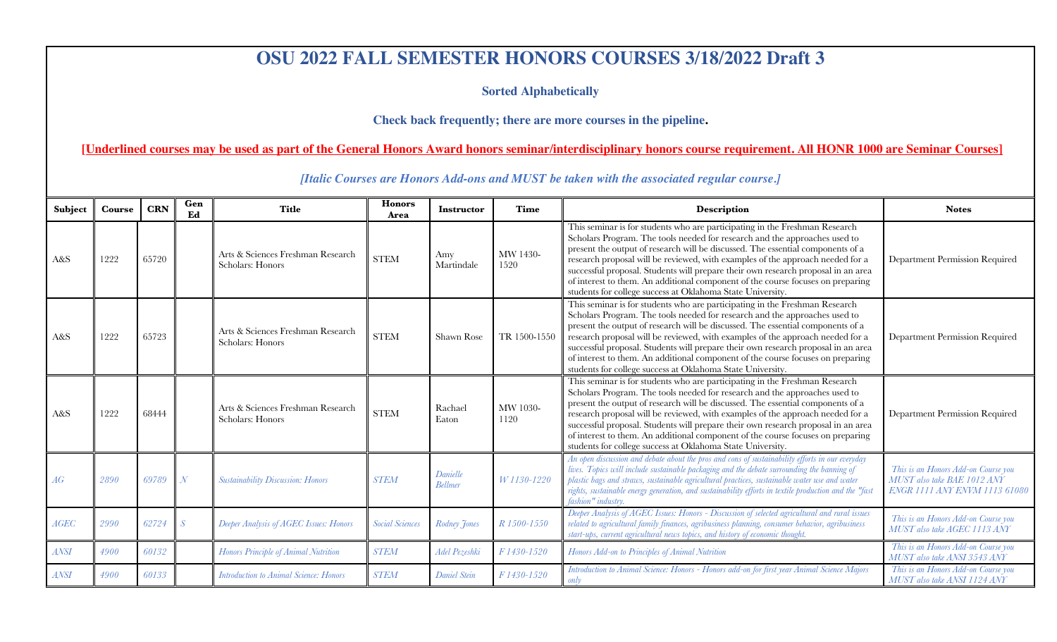## **OSU 2022 FALL SEMESTER HONORS COURSES 3/18/2022 Draft 3**

**Sorted Alphabetically** 

**Check back frequently; there are more courses in the pipeline.**

**[Underlined courses may be used as part of the General Honors Award honors seminar/interdisciplinary honors course requirement. All HONR 1000 are Seminar Courses]**

**Subject Course CRN**  $\begin{bmatrix} \text{Gen} \\ \text{Ed} \end{bmatrix}$ **Ed Title Honors Area Instructor Time Description Notes** A&S 1222 65720 Arts & Sciences Freshman Research STEM Amy Martindale MW 1430- 1520 This seminar is for students who are participating in the Freshman Research Scholars Program. The tools needed for research and the approaches used to present the output of research will be discussed. The essential components of a research proposal will be reviewed, with examples of the approach needed for a successful proposal. Students will prepare their own research proposal in an area of interest to them. An additional component of the course focuses on preparing students for college success at Oklahoma State University. Department Permission Required A&S  $\parallel$  1222  $\parallel$  65723  $\parallel$  Arts & Sciences Freshman Research Arts & Sciences Freshman Research STEM Shawn Rose TR 1500-1550 This seminar is for students who are participating in the Freshman Research Scholars Program. The tools needed for research and the approaches used to present the output of research will be discussed. The essential components of a research proposal will be reviewed, with examples of the approach needed for a successful proposal. Students will prepare their own research proposal in an area of interest to them. An additional component of the course focuses on preparing students for college success at Oklahoma State University. Department Permission Required A&S 1222 68444 Arts & Sciences Freshman Research STEM Rachael Exton Eaton MW 1030- 1120 This seminar is for students who are participating in the Freshman Research Scholars Program. The tools needed for research and the approaches used to present the output of research will be discussed. The essential components of a research proposal will be reviewed, with examples of the approach needed for a successful proposal. Students will prepare their own research proposal in an area of interest to them. An additional component of the course focuses on preparing students for college success at Oklahoma State University. Department Permission Required *AG <sup>2890</sup> <sup>69789</sup> <sup>N</sup> Sustainability Discussion: Honors STEM Danielle Bellmer W 1130-1220 An open discussion and debate about the pros and cons of sustainability efforts in our everyday lives. Topics will include sustainable packaging and the debate surrounding the banning of plastic bags and straws, sustainable agricultural practices, sustainable water use and water rights, sustainable energy generation, and sustainability efforts in textile production and the "fast fashion" industry. This is an Honors Add-on Course you MUST also take BAE 1012 ANY ENGR 1111 ANY ENVM 1113 61080 AGEC 2990 62724 S Deeper Analysis of AGEC Issues: Honors Social Sciences Rodney Jones R 1500-1550 Deeper Analysis of AGEC Issues: Honors - Discussion of selected agricultural and rural issues related to agricultural family finances, agribusiness planning, consumer behavior, agribusiness start-ups, current agricultural news topics, and history of economic thought. This is an Honors Add-on Course you MUST also take AGEC 1113 ANY* ANSI 4900 60132 Honors Principle of Animal Nutrition STEM Adel Pezeshki F 1430-1520 Honors Add-on to Principles of Animal Nutrition This is an Honors Add-on Course you *MUST also take ANSI 3543 ANY* ANSI 4900 60133 Introduction to Animal Science: Honors STEM Daniel Stein F 1430-1520 Introduction to Animal Science: Honors - Honors add-on for first year Animal Science Majors *only This is an Honors Add-on Course you MUST also take ANSI 1124 ANY*

*[Italic Courses are Honors Add-ons and MUST be taken with the associated regular course.]*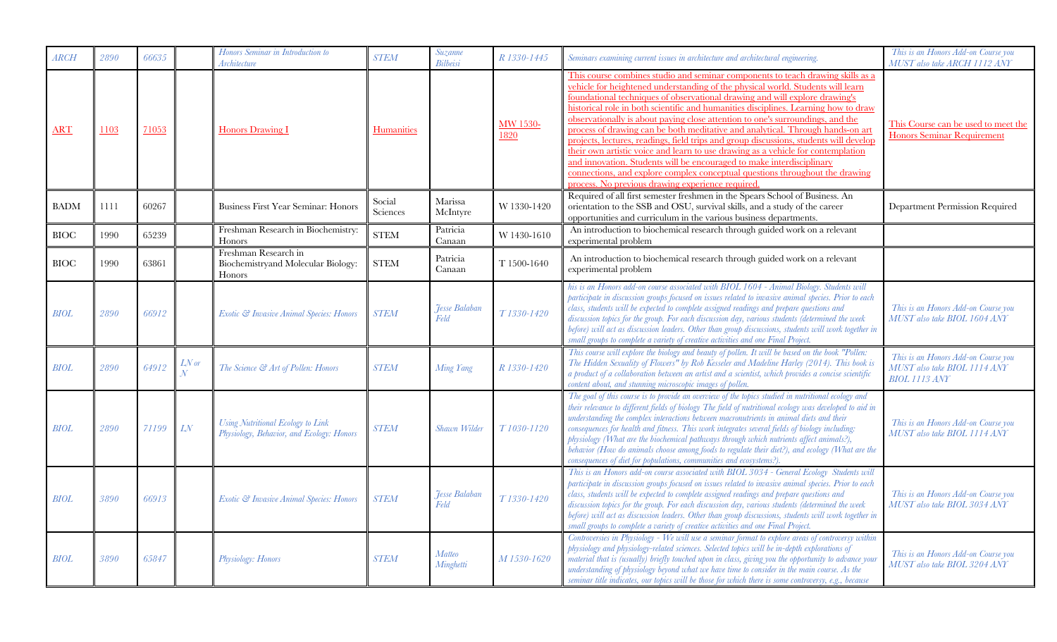| $\mathcal{ARCH}$ | 2890 | 66635 |                                     | Honors Seminar in Introduction to<br>Architecture                                     | <b>STEM</b>        | Suzanne<br>Bilbeisi                 | R 1330-1445      | Seminars examining current issues in architecture and architectural engineering.                                                                                                                                                                                                                                                                                                                                                                                                                                                                                                                                                                                                                                                                                                                                                                                                                         | This is an Honors Add-on Course you<br>MUST also take ARCH 1112 ANY                         |
|------------------|------|-------|-------------------------------------|---------------------------------------------------------------------------------------|--------------------|-------------------------------------|------------------|----------------------------------------------------------------------------------------------------------------------------------------------------------------------------------------------------------------------------------------------------------------------------------------------------------------------------------------------------------------------------------------------------------------------------------------------------------------------------------------------------------------------------------------------------------------------------------------------------------------------------------------------------------------------------------------------------------------------------------------------------------------------------------------------------------------------------------------------------------------------------------------------------------|---------------------------------------------------------------------------------------------|
| <b>ART</b>       | 1103 | 71053 |                                     | <b>Honors Drawing I</b>                                                               | <b>Humanities</b>  |                                     | MW 1530-<br>1820 | This course combines studio and seminar components to teach drawing skills as a<br>vehicle for heightened understanding of the physical world. Students will learn<br>foundational techniques of observational drawing and will explore drawing's<br>historical role in both scientific and humanities disciplines. Learning how to draw<br>observationally is about paying close attention to one's surroundings, and the<br>process of drawing can be both meditative and analytical. Through hands-on art<br>projects, lectures, readings, field trips and group discussions, students will develop<br>their own artistic voice and learn to use drawing as a vehicle for contemplation<br>and innovation. Students will be encouraged to make interdisciplinary<br>connections, and explore complex conceptual questions throughout the drawing<br>process. No previous drawing experience required. | This Course can be used to meet the<br><b>Honors Seminar Requirement</b>                    |
| <b>BADM</b>      | 1111 | 60267 |                                     | <b>Business First Year Seminar: Honors</b>                                            | Social<br>Sciences | Marissa<br>McIntyre                 | W 1330-1420      | Required of all first semester freshmen in the Spears School of Business. An<br>orientation to the SSB and OSU, survival skills, and a study of the career<br>opportunities and curriculum in the various business departments.                                                                                                                                                                                                                                                                                                                                                                                                                                                                                                                                                                                                                                                                          | Department Permission Required                                                              |
| <b>BIOC</b>      | 1990 | 65239 |                                     | Freshman Research in Biochemistry:<br>Honors                                          | <b>STEM</b>        | Patricia<br>Canaan                  | W 1430-1610      | An introduction to biochemical research through guided work on a relevant<br>experimental problem                                                                                                                                                                                                                                                                                                                                                                                                                                                                                                                                                                                                                                                                                                                                                                                                        |                                                                                             |
| <b>BIOC</b>      | 1990 | 63861 |                                     | Freshman Research in<br>Biochemistryand Molecular Biology:<br>Honors                  | <b>STEM</b>        | Patricia<br>Canaan                  | T 1500-1640      | An introduction to biochemical research through guided work on a relevant<br>experimental problem                                                                                                                                                                                                                                                                                                                                                                                                                                                                                                                                                                                                                                                                                                                                                                                                        |                                                                                             |
| <b>BIOL</b>      | 2890 | 66912 |                                     | Exotic & Invasive Animal Species: Honors                                              | <b>STEM</b>        | <b>Jesse Balaban</b><br><b>Feld</b> | T1330-1420       | his is an Honors add-on course associated with BIOL 1604 - Animal Biology. Students will<br>participate in discussion groups focused on issues related to invasive animal species. Prior to each<br>class, students will be expected to complete assigned readings and prepare questions and<br>discussion topics for the group. For each discussion day, various students (determined the week<br>before) will act as discussion leaders. Other than group discussions, students will work together in<br>small groups to complete a variety of creative activities and one Final Project                                                                                                                                                                                                                                                                                                               | This is an Honors Add-on Course you<br>MUST also take BIOL 1604 ANY                         |
| BIOL             | 2890 | 64912 | $LN$ or<br>$\overline{\mathcal{N}}$ | The Science & Art of Pollen: Honors                                                   | <b>STEM</b>        | Ming Yang                           | R 1330-1420      | This course will explore the biology and beauty of pollen. It will be based on the book "Pollen:<br>The Hidden Sexuality of Flowers" by Rob Kesseler and Madeline Harley (2014). This book is<br>a product of a collaboration between an artist and a scientist, which provides a concise scientific<br>content about, and stunning microscopic images of pollen.                                                                                                                                                                                                                                                                                                                                                                                                                                                                                                                                        | This is an Honors Add-on Course you<br>MUST also take BIOL 1114 ANY<br><b>BIOL 1113 ANY</b> |
| <b>BIOL</b>      | 2890 | 71199 | ${\cal L} {\cal N}$                 | <b>Using Nutritional Ecology to Link</b><br>Physiology, Behavior, and Ecology: Honors | <b>STEM</b>        | Shawn Wilder                        | T1030-1120       | The goal of this course is to provide an overview of the topics studied in nutritional ecology and<br>their relevance to different fields of biology The field of nutritional ecology was developed to aid in<br>understanding the complex interactions between macronutrients in animal diets and their<br>consequences for health and fitness. This work integrates several fields of biology including:<br>physiology (What are the biochemical pathways through which nutrients affect animals?),<br>behavior (How do animals choose among foods to regulate their diet?), and ecology (What are the<br>consequences of diet for populations, communities and ecosystems?).                                                                                                                                                                                                                          | This is an Honors Add-on Course you<br>MUST also take BIOL 1114 ANY                         |
| <b>BIOL</b>      | 3890 | 66913 |                                     | Exotic & Invasive Animal Species: Honors                                              | <b>STEM</b>        | Jesse Balaban<br>Feld               | T1330-1420       | This is an Honors add-on course associated with BIOL 3034 - General Ecology Students will<br>participate in discussion groups focused on issues related to invasive animal species. Prior to each<br>class, students will be expected to complete assigned readings and prepare questions and<br>discussion topics for the group. For each discussion day, various students (determined the week<br>before) will act as discussion leaders. Other than group discussions, students will work together in<br>small groups to complete a variety of creative activities and one Final Project.                                                                                                                                                                                                                                                                                                             | This is an Honors Add-on Course you<br>MUST also take BIOL 3034 ANY                         |
| <b>BIOL</b>      | 3890 | 65847 |                                     | Physiology: Honors                                                                    | <b>STEM</b>        | Matteo<br>Minghetti                 | M 1530-1620      | Controversies in Physiology - We will use a seminar format to explore areas of controversy within<br>physiology and physiology-related sciences. Selected topics will be in-depth explorations of<br>material that is (usually) briefly touched upon in class, giving you the opportunity to advance your<br>understanding of physiology beyond what we have time to consider in the main course. As the<br>seminar title indicates, our topics will be those for which there is some controversy, e.g., because                                                                                                                                                                                                                                                                                                                                                                                         | This is an Honors Add-on Course you<br>MUST also take BIOL 3204 ANY                         |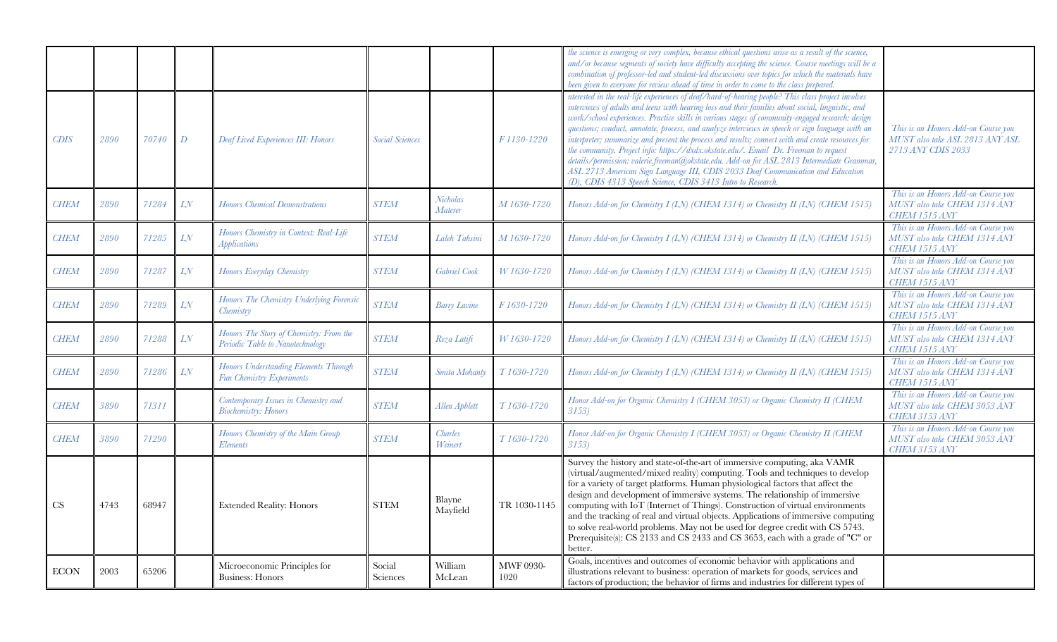|             |      |       |                  |                                                                             |                        |                            |                          | the science is emerging or very complex, because ethical questions arise as a result of the science,<br>and/or because segments of society have difficulty accepting the science. Course meetings will be a<br>combination of professor-led and student-led discussions over topics for which the materials have<br>been given to everyone for review ahead of time in order to come to the class prepared.                                                                                                                                                                                                                                                                                                                                                                                                                                                 |                                                                                              |
|-------------|------|-------|------------------|-----------------------------------------------------------------------------|------------------------|----------------------------|--------------------------|-------------------------------------------------------------------------------------------------------------------------------------------------------------------------------------------------------------------------------------------------------------------------------------------------------------------------------------------------------------------------------------------------------------------------------------------------------------------------------------------------------------------------------------------------------------------------------------------------------------------------------------------------------------------------------------------------------------------------------------------------------------------------------------------------------------------------------------------------------------|----------------------------------------------------------------------------------------------|
| <i>CDIS</i> | 2890 | 70740 | $\boldsymbol{D}$ | <b>Deaf Lived Experiences III: Honors</b>                                   | <b>Social Sciences</b> |                            | F 1130-1220              | nterested in the real-life experiences of deaf/hard-of-hearing people? This class project involves<br>interviews of adults and teens with hearing loss and their families about social, linguistic, and<br>work/school experiences. Practice skills in various stages of community-engaged research: design<br>questions; conduct, annotate, process, and analyze interviews in speech or sign language with an<br>interpreter; summarize and present the process and results; connect with and create resources for<br>the community. Project info: https://dxdx.okstate.edu/. Email Dr. Freeman to request<br>details/permission: valerie.freeman@okstate.edu. Add-on for ASL 2813 Intermediate Grammar,<br>ASL 2713 American Sign Language III, CDIS 2033 Deaf Communication and Education<br>(D), CDIS 4313 Speech Science, CDIS 3413 Intro to Research | This is an Honors Add-on Course you<br>MUST also take ASL 2813 ANY ASL<br>2713 ANY CDIS 2033 |
| <b>CHEM</b> | 2890 | 71284 | LN               | <b>Honors Chemical Demonstrations</b>                                       | <b>STEM</b>            | <b>Nicholas</b><br>Materer | M 1630-1720              | Honors Add-on for Chemistry I (LN) (CHEM 1314) or Chemistry II (LN) (CHEM 1515)                                                                                                                                                                                                                                                                                                                                                                                                                                                                                                                                                                                                                                                                                                                                                                             | This is an Honors Add-on Course you<br>MUST also take CHEM 1314 ANY<br>CHEM 1515 ANY         |
| <b>CHEM</b> | 2890 | 71285 | LN               | Honors Chemistry in Context: Real-Life<br><i>Applications</i>               | <b>STEM</b>            | Laleh Tahsini              | M1630-1720               | Honors Add-on for Chemistry I (LN) (CHEM 1314) or Chemistry II (LN) (CHEM 1515)                                                                                                                                                                                                                                                                                                                                                                                                                                                                                                                                                                                                                                                                                                                                                                             | This is an Honors Add-on Course you<br>MUST also take CHEM 1314 ANY<br><b>CHEM 1515 ANY</b>  |
| <b>CHEM</b> | 2890 | 71287 | LN               | Honors Everyday Chemistry                                                   | <b>STEM</b>            | Gabriel Cook               | W 1630-1720              | Honors Add-on for Chemistry I (LN) (CHEM 1314) or Chemistry II (LN) (CHEM 1515)                                                                                                                                                                                                                                                                                                                                                                                                                                                                                                                                                                                                                                                                                                                                                                             | This is an Honors Add-on Course you<br>MUST also take CHEM 1314 ANY<br><b>CHEM 1515 ANY</b>  |
| <b>CHEM</b> | 2890 | 71289 | LN               | Honors The Chemistry Underlying Forensic<br>Chemistry                       | <b>STEM</b>            | <b>Barry Lavine</b>        | F1630-1720               | Honors Add-on for Chemistry I (LN) (CHEM 1314) or Chemistry II (LN) (CHEM 1515)                                                                                                                                                                                                                                                                                                                                                                                                                                                                                                                                                                                                                                                                                                                                                                             | This is an Honors Add-on Course you<br>MUST also take CHEM 1314 ANY<br>CHEM 1515 ANY         |
| <b>CHEM</b> | 2890 | 71288 | LN               | Honors The Story of Chemistry: From the<br>Periodic Table to Nanotechnology | <b>STEM</b>            | Reza Latifi                | W1630-1720               | Honors Add-on for Chemistry I (LN) (CHEM 1314) or Chemistry II (LN) (CHEM 1515)                                                                                                                                                                                                                                                                                                                                                                                                                                                                                                                                                                                                                                                                                                                                                                             | This is an Honors Add-on Course you<br>MUST also take CHEM 1314 ANY<br>CHEM 1515 ANY         |
| <b>CHEM</b> | 2890 | 71286 | LN               | Honors Understanding Elements Through<br>Fun Chemistry Experiments          | <b>STEM</b>            | Smita Mohanty              | T1630-1720               | Honors Add-on for Chemistry I (LN) (CHEM 1314) or Chemistry II (LN) (CHEM 1515)                                                                                                                                                                                                                                                                                                                                                                                                                                                                                                                                                                                                                                                                                                                                                                             | This is an Honors Add-on Course you<br>MUST also take CHEM 1314 ANY<br>CHEM 1515 ANY         |
| <b>CHEM</b> | 3890 | 71311 |                  | Contemporary Issues in Chemistry and<br><b>Biochemistry: Honors</b>         | <b>STEM</b>            | Allen Apblett              | T1630-1720               | Honor Add-on for Organic Chemistry I (CHEM 3053) or Organic Chemistry II (CHEM<br>3153                                                                                                                                                                                                                                                                                                                                                                                                                                                                                                                                                                                                                                                                                                                                                                      | This is an Honors Add-on Course you<br>MUST also take CHEM 3053 ANY<br><b>CHEM 3153 ANY</b>  |
| <b>CHEM</b> | 3890 | 71290 |                  | Honors Chemistry of the Main Group<br><i>Elements</i>                       | <b>STEM</b>            | <b>Charles</b><br>Weinert  | T1630-1720               | Honor Add-on for Organic Chemistry I (CHEM 3053) or Organic Chemistry II (CHEM<br>3153)                                                                                                                                                                                                                                                                                                                                                                                                                                                                                                                                                                                                                                                                                                                                                                     | This is an Honors Add-on Course you<br>MUST also take CHEM 3053 ANY<br>CHEM 3153 ANY         |
| CS          | 4743 | 68947 |                  | <b>Extended Reality: Honors</b>                                             | <b>STEM</b>            | Blayne<br>Mayfield         | TR 1030-1145             | Survey the history and state-of-the-art of immersive computing, aka VAMR<br>(virtual/augmented/mixed reality) computing. Tools and techniques to develop<br>for a variety of target platforms. Human physiological factors that affect the<br>design and development of immersive systems. The relationship of immersive<br>computing with IoT (Internet of Things). Construction of virtual environments<br>and the tracking of real and virtual objects. Applications of immersive computing<br>to solve real-world problems. May not be used for degree credit with CS 5743.<br>Prerequisite(s): CS 2133 and CS 2433 and CS 3653, each with a grade of "C" or<br>better.                                                                                                                                                                                 |                                                                                              |
| <b>ECON</b> | 2003 | 65206 |                  | Microeconomic Principles for<br><b>Business: Honors</b>                     | Social<br>Sciences     | William<br>McLean          | <b>MWF 0930-</b><br>1020 | Goals, incentives and outcomes of economic behavior with applications and<br>illustrations relevant to business: operation of markets for goods, services and<br>factors of production; the behavior of firms and industries for different types of                                                                                                                                                                                                                                                                                                                                                                                                                                                                                                                                                                                                         |                                                                                              |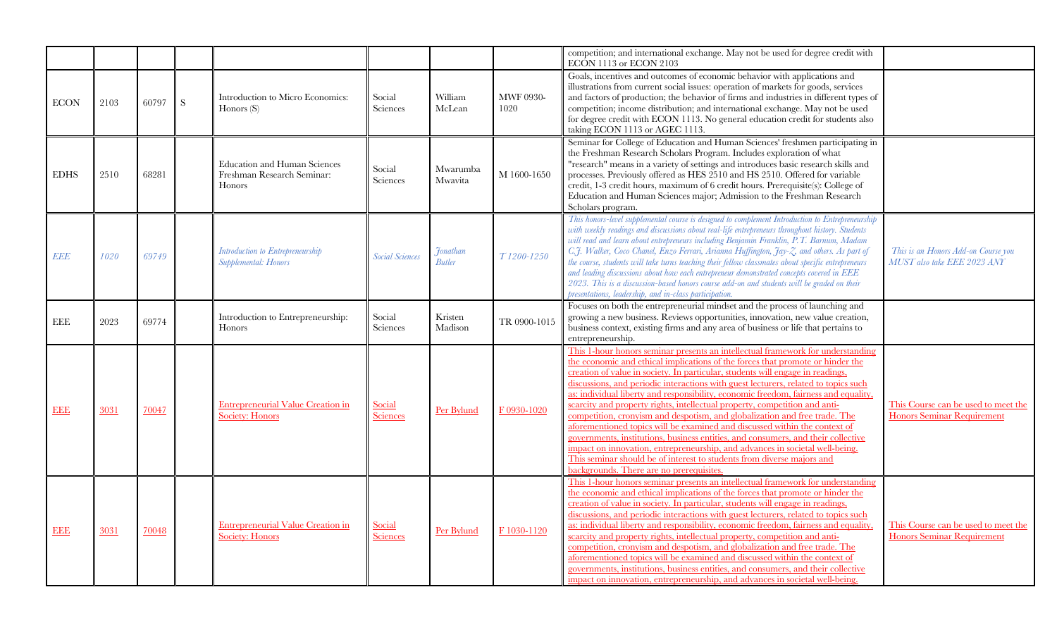|             |      |       |           |                                                                             |                        |                                              |                          | competition; and international exchange. May not be used for degree credit with<br>ECON 1113 or ECON 2103                                                                                                                                                                                                                                                                                                                                                                                                                                                                                                                                                                                                                                                                                                                                                                                                                                                             |                                                                          |
|-------------|------|-------|-----------|-----------------------------------------------------------------------------|------------------------|----------------------------------------------|--------------------------|-----------------------------------------------------------------------------------------------------------------------------------------------------------------------------------------------------------------------------------------------------------------------------------------------------------------------------------------------------------------------------------------------------------------------------------------------------------------------------------------------------------------------------------------------------------------------------------------------------------------------------------------------------------------------------------------------------------------------------------------------------------------------------------------------------------------------------------------------------------------------------------------------------------------------------------------------------------------------|--------------------------------------------------------------------------|
| <b>ECON</b> | 2103 | 60797 | ${\bf S}$ | Introduction to Micro Economics:<br>Honors $(S)$                            | Social<br>Sciences     | William<br>McLean                            | <b>MWF 0930-</b><br>1020 | Goals, incentives and outcomes of economic behavior with applications and<br>illustrations from current social issues: operation of markets for goods, services<br>and factors of production; the behavior of firms and industries in different types of<br>competition; income distribution; and international exchange. May not be used<br>for degree credit with ECON 1113. No general education credit for students also<br>taking ECON 1113 or AGEC 1113.                                                                                                                                                                                                                                                                                                                                                                                                                                                                                                        |                                                                          |
| <b>EDHS</b> | 2510 | 68281 |           | <b>Education and Human Sciences</b><br>Freshman Research Seminar:<br>Honors | Social<br>Sciences     | Mwarumba<br>Mwavita                          | M 1600-1650              | Seminar for College of Education and Human Sciences' freshmen participating in<br>the Freshman Research Scholars Program. Includes exploration of what<br>"research" means in a variety of settings and introduces basic research skills and<br>processes. Previously offered as HES 2510 and HS 2510. Offered for variable<br>credit, 1-3 credit hours, maximum of 6 credit hours. Prerequisite(s): College of<br>Education and Human Sciences major; Admission to the Freshman Research<br>Scholars program.                                                                                                                                                                                                                                                                                                                                                                                                                                                        |                                                                          |
| EEE         | 1020 | 69749 |           | Introduction to Entrepreneurship<br>Supplemental: Honors                    | <b>Social Sciences</b> | <b>7</b> <sub>onathan</sub><br><b>Butler</b> | T1200-1250               | This honors-level supplemental course is designed to complement Introduction to Entrepreneurship<br>with weekly readings and discussions about real-life entrepreneurs throughout history. Students<br>will read and learn about entrepreneurs including Benjamin Franklin, P.T. Barnum, Madam<br>C.J. Walker, Coco Chanel, Enzo Ferrari, Arianna Huffington, Jay-Z, and others. As part of<br>the course, students will take turns teaching their fellow classmates about specific entrepreneurs<br>and leading discussions about how each entrepreneur demonstrated concepts covered in EEE<br>2023. This is a discussion-based honors course add-on and students will be graded on their<br>presentations, leadership, and in-class participation.                                                                                                                                                                                                                 | This is an Honors Add-on Course you<br>MUST also take EEE 2023 ANY       |
| $\rm EEE$   | 2023 | 69774 |           | Introduction to Entrepreneurship:<br>Honors                                 | Social<br>Sciences     | Kristen<br>Madison                           | TR 0900-1015             | Focuses on both the entrepreneurial mindset and the process of launching and<br>growing a new business. Reviews opportunities, innovation, new value creation,<br>business context, existing firms and any area of business or life that pertains to<br>entrepreneurship.                                                                                                                                                                                                                                                                                                                                                                                                                                                                                                                                                                                                                                                                                             |                                                                          |
| <b>EEE</b>  | 3031 | 70047 |           | <b>Entrepreneurial Value Creation in</b><br><b>Society: Honors</b>          | Social<br>Sciences     | Per Bylund                                   | F 0930-1020              | This 1-hour honors seminar presents an intellectual framework for understanding<br>the economic and ethical implications of the forces that promote or hinder the<br>creation of value in society. In particular, students will engage in readings,<br>discussions, and periodic interactions with guest lecturers, related to topics such<br>as: individual liberty and responsibility, economic freedom, fairness and equality,<br>scarcity and property rights, intellectual property, competition and anti-<br>competition, cronyism and despotism, and globalization and free trade. The<br>aforementioned topics will be examined and discussed within the context of<br>governments, institutions, business entities, and consumers, and their collective<br>impact on innovation, entrepreneurship, and advances in societal well-being.<br>This seminar should be of interest to students from diverse majors and<br>backgrounds. There are no prerequisites | This Course can be used to meet the<br><b>Honors Seminar Requirement</b> |
| <b>EEE</b>  | 3031 | 70048 |           | <b>Entrepreneurial Value Creation in</b><br><b>Society: Honors</b>          | Social<br>Sciences     | Per Bylund                                   | F 1030-1120              | This 1-hour honors seminar presents an intellectual framework for understanding<br>the economic and ethical implications of the forces that promote or hinder the<br>creation of value in society. In particular, students will engage in readings.<br>discussions, and periodic interactions with guest lecturers, related to topics such<br>as: individual liberty and responsibility, economic freedom, fairness and equality,<br>scarcity and property rights, intellectual property, competition and anti-<br>competition, cronyism and despotism, and globalization and free trade. The<br>aforementioned topics will be examined and discussed within the context of<br>governments, institutions, business entities, and consumers, and their collective<br>impact on innovation, entrepreneurship, and advances in societal well-being.                                                                                                                      | This Course can be used to meet the<br><b>Honors Seminar Requirement</b> |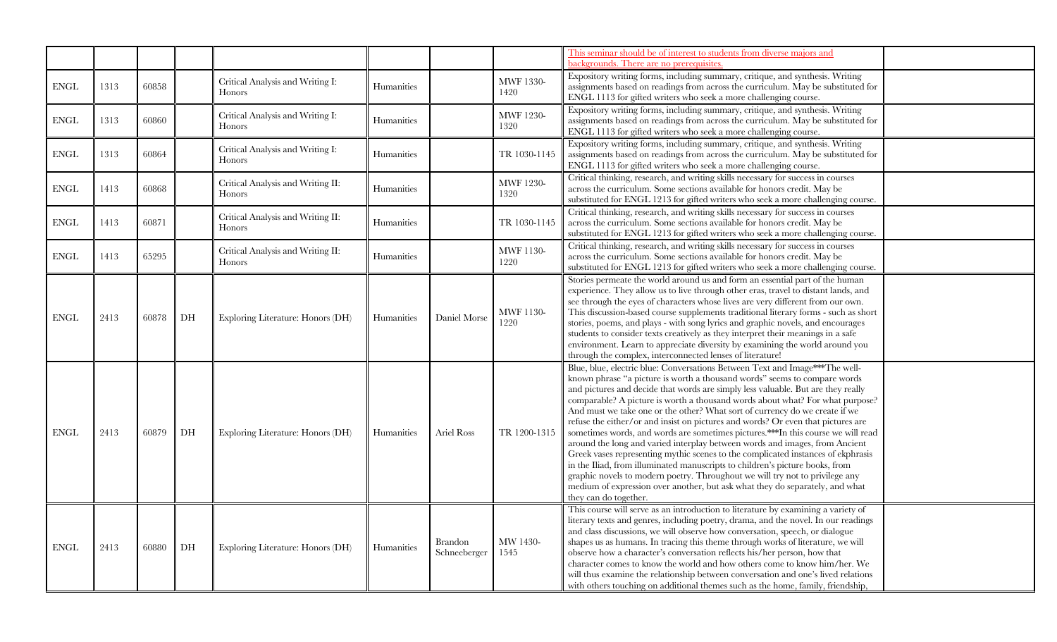|              |      |       |    |                                                   |            |                                |                          | This seminar should be of interest to students from diverse majors and<br>backgrounds. There are no prerequisites                                                                                                                                                                                                                                                                                                                                                                                                                                                                                                                                                                                                                                                                                                                                                                                                                                                                                                                |
|--------------|------|-------|----|---------------------------------------------------|------------|--------------------------------|--------------------------|----------------------------------------------------------------------------------------------------------------------------------------------------------------------------------------------------------------------------------------------------------------------------------------------------------------------------------------------------------------------------------------------------------------------------------------------------------------------------------------------------------------------------------------------------------------------------------------------------------------------------------------------------------------------------------------------------------------------------------------------------------------------------------------------------------------------------------------------------------------------------------------------------------------------------------------------------------------------------------------------------------------------------------|
| ${\rm ENGL}$ | 1313 | 60858 |    | Critical Analysis and Writing I:<br>Honors        | Humanities |                                | MWF 1330-<br>1420        | Expository writing forms, including summary, critique, and synthesis. Writing<br>assignments based on readings from across the curriculum. May be substituted for<br>ENGL 1113 for gifted writers who seek a more challenging course.                                                                                                                                                                                                                                                                                                                                                                                                                                                                                                                                                                                                                                                                                                                                                                                            |
| ENGL         | 1313 | 60860 |    | Critical Analysis and Writing I:<br>Honors        | Humanities |                                | <b>MWF 1230-</b><br>1320 | Expository writing forms, including summary, critique, and synthesis. Writing<br>assignments based on readings from across the curriculum. May be substituted for<br>ENGL 1113 for gifted writers who seek a more challenging course.                                                                                                                                                                                                                                                                                                                                                                                                                                                                                                                                                                                                                                                                                                                                                                                            |
| ${\rm ENGL}$ | 1313 | 60864 |    | Critical Analysis and Writing I:<br><b>Honors</b> | Humanities |                                | TR 1030-1145             | Expository writing forms, including summary, critique, and synthesis. Writing<br>assignments based on readings from across the curriculum. May be substituted for<br>ENGL 1113 for gifted writers who seek a more challenging course.                                                                                                                                                                                                                                                                                                                                                                                                                                                                                                                                                                                                                                                                                                                                                                                            |
| <b>ENGL</b>  | 1413 | 60868 |    | Critical Analysis and Writing II:<br>Honors       | Humanities |                                | <b>MWF 1230-</b><br>1320 | Critical thinking, research, and writing skills necessary for success in courses<br>across the curriculum. Some sections available for honors credit. May be<br>substituted for ENGL 1213 for gifted writers who seek a more challenging course.                                                                                                                                                                                                                                                                                                                                                                                                                                                                                                                                                                                                                                                                                                                                                                                 |
| <b>ENGL</b>  | 1413 | 60871 |    | Critical Analysis and Writing II:<br>Honors       | Humanities |                                | TR 1030-1145             | Critical thinking, research, and writing skills necessary for success in courses<br>across the curriculum. Some sections available for honors credit. May be<br>substituted for ENGL 1213 for gifted writers who seek a more challenging course.                                                                                                                                                                                                                                                                                                                                                                                                                                                                                                                                                                                                                                                                                                                                                                                 |
| ${\rm ENGL}$ | 1413 | 65295 |    | Critical Analysis and Writing II:<br>Honors       | Humanities |                                | MWF 1130-<br>1220        | Critical thinking, research, and writing skills necessary for success in courses<br>across the curriculum. Some sections available for honors credit. May be<br>substituted for ENGL 1213 for gifted writers who seek a more challenging course.                                                                                                                                                                                                                                                                                                                                                                                                                                                                                                                                                                                                                                                                                                                                                                                 |
| ENGL         | 2413 | 60878 | DH | Exploring Literature: Honors (DH)                 | Humanities | Daniel Morse                   | MWF 1130-<br>1220        | Stories permeate the world around us and form an essential part of the human<br>experience. They allow us to live through other eras, travel to distant lands, and<br>see through the eyes of characters whose lives are very different from our own.<br>This discussion-based course supplements traditional literary forms - such as short<br>stories, poems, and plays - with song lyrics and graphic novels, and encourages<br>students to consider texts creatively as they interpret their meanings in a safe<br>environment. Learn to appreciate diversity by examining the world around you<br>through the complex, interconnected lenses of literature!                                                                                                                                                                                                                                                                                                                                                                 |
| <b>ENGL</b>  | 2413 | 60879 | DH | Exploring Literature: Honors (DH)                 | Humanities | Ariel Ross                     | TR 1200-1315             | Blue, blue, electric blue: Conversations Between Text and Image***The well-<br>known phrase "a picture is worth a thousand words" seems to compare words<br>and pictures and decide that words are simply less valuable. But are they really<br>comparable? A picture is worth a thousand words about what? For what purpose?<br>And must we take one or the other? What sort of currency do we create if we<br>refuse the either/or and insist on pictures and words? Or even that pictures are<br>sometimes words, and words are sometimes pictures.***In this course we will read<br>around the long and varied interplay between words and images, from Ancient<br>Greek vases representing mythic scenes to the complicated instances of ekphrasis<br>in the Iliad, from illuminated manuscripts to children's picture books, from<br>graphic novels to modern poetry. Throughout we will try not to privilege any<br>medium of expression over another, but ask what they do separately, and what<br>they can do together. |
| ENGL         | 2413 | 60880 | DH | Exploring Literature: Honors (DH)                 | Humanities | <b>Brandon</b><br>Schneeberger | MW 1430-<br>1545         | This course will serve as an introduction to literature by examining a variety of<br>literary texts and genres, including poetry, drama, and the novel. In our readings<br>and class discussions, we will observe how conversation, speech, or dialogue<br>shapes us as humans. In tracing this theme through works of literature, we will<br>observe how a character's conversation reflects his/her person, how that<br>character comes to know the world and how others come to know him/her. We<br>will thus examine the relationship between conversation and one's lived relations<br>with others touching on additional themes such as the home, family, friendship,                                                                                                                                                                                                                                                                                                                                                      |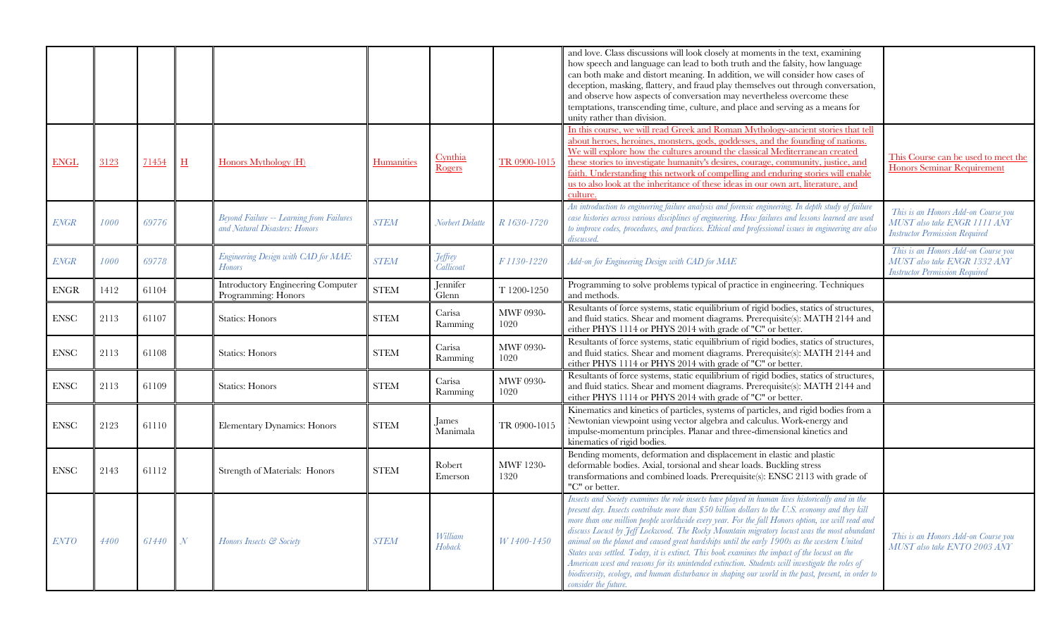|              |      |       |               |                                                                                  |             |                             |                          | and love. Class discussions will look closely at moments in the text, examining<br>how speech and language can lead to both truth and the falsity, how language<br>can both make and distort meaning. In addition, we will consider how cases of<br>deception, masking, flattery, and fraud play themselves out through conversation,<br>and observe how aspects of conversation may nevertheless overcome these<br>temptations, transcending time, culture, and place and serving as a means for<br>unity rather than division.                                                                                                                                                                                                                                                                                                       |                                                                                                              |
|--------------|------|-------|---------------|----------------------------------------------------------------------------------|-------------|-----------------------------|--------------------------|----------------------------------------------------------------------------------------------------------------------------------------------------------------------------------------------------------------------------------------------------------------------------------------------------------------------------------------------------------------------------------------------------------------------------------------------------------------------------------------------------------------------------------------------------------------------------------------------------------------------------------------------------------------------------------------------------------------------------------------------------------------------------------------------------------------------------------------|--------------------------------------------------------------------------------------------------------------|
| <b>ENGL</b>  | 3123 | 71454 | $H_{\rm}$     | Honors Mythology (H)                                                             | Humanities  | Cynthia<br><b>Rogers</b>    | TR 0900-1015             | In this course, we will read Greek and Roman Mythology-ancient stories that tell<br>about heroes, heroines, monsters, gods, goddesses, and the founding of nations.<br>We will explore how the cultures around the classical Mediterranean created<br>these stories to investigate humanity's desires, courage, community, justice, and<br>faith. Understanding this network of compelling and enduring stories will enable<br>us to also look at the inheritance of these ideas in our own art, literature, and<br>culture.                                                                                                                                                                                                                                                                                                           | This Course can be used to meet the<br>Honors Seminar Requirement                                            |
| <b>ENGR</b>  | 1000 | 69776 |               | <b>Beyond Failure -- Learning from Failures</b><br>and Natural Disasters: Honors | <b>STEM</b> | Norbert Delatte             | R 1630-1720              | An introduction to engineering failure analysis and forensic engineering. In depth study of failure<br>case histories across various disciplines of engineering. How failures and lessons learned are used<br>to improve codes, procedures, and practices. Ethical and professional issues in engineering are also<br>discussed.                                                                                                                                                                                                                                                                                                                                                                                                                                                                                                       | This is an Honors Add-on Course you<br>MUST also take ENGR 1111 ANY<br><b>Instructor Permission Required</b> |
| <b>ENGR</b>  | 1000 | 69778 |               | Engineering Design with CAD for MAE:<br><b>Honors</b>                            | <b>STEM</b> | <b>Jeffrey</b><br>Callicoat | F1130-1220               | Add-on for Engineering Design with CAD for MAE                                                                                                                                                                                                                                                                                                                                                                                                                                                                                                                                                                                                                                                                                                                                                                                         | This is an Honors Add-on Course you<br>MUST also take ENGR 1332 ANY<br><b>Instructor Permission Required</b> |
| ${\rm ENGR}$ | 1412 | 61104 |               | <b>Introductory Engineering Computer</b><br>Programming: Honors                  | <b>STEM</b> | Jennifer<br>Glenn           | T 1200-1250              | Programming to solve problems typical of practice in engineering. Techniques<br>and methods.                                                                                                                                                                                                                                                                                                                                                                                                                                                                                                                                                                                                                                                                                                                                           |                                                                                                              |
| ${\rm ENSC}$ | 2113 | 61107 |               | <b>Statics: Honors</b>                                                           | <b>STEM</b> | Carisa<br>Ramming           | <b>MWF 0930-</b><br>1020 | Resultants of force systems, static equilibrium of rigid bodies, statics of structures,<br>and fluid statics. Shear and moment diagrams. Prerequisite(s): MATH 2144 and<br>either PHYS 1114 or PHYS 2014 with grade of "C" or better.                                                                                                                                                                                                                                                                                                                                                                                                                                                                                                                                                                                                  |                                                                                                              |
| <b>ENSC</b>  | 2113 | 61108 |               | <b>Statics: Honors</b>                                                           | <b>STEM</b> | Carisa<br>Ramming           | MWF 0930-<br>1020        | Resultants of force systems, static equilibrium of rigid bodies, statics of structures,<br>and fluid statics. Shear and moment diagrams. Prerequisite(s): MATH 2144 and<br>either PHYS 1114 or PHYS 2014 with grade of "C" or better.                                                                                                                                                                                                                                                                                                                                                                                                                                                                                                                                                                                                  |                                                                                                              |
| ${\rm ENSC}$ | 2113 | 61109 |               | <b>Statics: Honors</b>                                                           | <b>STEM</b> | Carisa<br>Ramming           | <b>MWF 0930-</b><br>1020 | Resultants of force systems, static equilibrium of rigid bodies, statics of structures,<br>and fluid statics. Shear and moment diagrams. Prerequisite(s): MATH 2144 and<br>either PHYS 1114 or PHYS 2014 with grade of "C" or better.                                                                                                                                                                                                                                                                                                                                                                                                                                                                                                                                                                                                  |                                                                                                              |
| <b>ENSC</b>  | 2123 | 61110 |               | Elementary Dynamics: Honors                                                      | <b>STEM</b> | <b>James</b><br>Manimala    | TR 0900-1015             | Kinematics and kinetics of particles, systems of particles, and rigid bodies from a<br>Newtonian viewpoint using vector algebra and calculus. Work-energy and<br>impulse-momentum principles. Planar and three-dimensional kinetics and<br>kinematics of rigid bodies.                                                                                                                                                                                                                                                                                                                                                                                                                                                                                                                                                                 |                                                                                                              |
| <b>ENSC</b>  | 2143 | 61112 |               | Strength of Materials: Honors                                                    | <b>STEM</b> | Robert<br>Emerson           | <b>MWF 1230-</b><br>1320 | Bending moments, deformation and displacement in elastic and plastic<br>deformable bodies. Axial, torsional and shear loads. Buckling stress<br>transformations and combined loads. Prerequisite(s): ENSC 2113 with grade of<br>"C" or better.                                                                                                                                                                                                                                                                                                                                                                                                                                                                                                                                                                                         |                                                                                                              |
| <b>ENTO</b>  | 4400 | 61440 | $\mathcal{N}$ | Honors Insects & Society                                                         | <b>STEM</b> | William<br>Hoback           | W 1400-1450              | Insects and Society examines the role insects have played in human lives historically and in the<br>present day. Insects contribute more than \$50 billion dollars to the U.S. economy and they kill<br>more than one million people worldwide every year. For the fall Honors option, we will read and<br>discuss Locust by Jeff Lockwood. The Rocky Mountain migratory locust was the most abundant<br>animal on the planet and caused great hardships until the early 1900s as the western United<br>States was settled. Today, it is extinct. This book examines the impact of the locust on the<br>American west and reasons for its unintended extinction. Students will investigate the roles of<br>biodiversity, ecology, and human disturbance in shaping our world in the past, present, in order to<br>consider the future. | This is an Honors Add-on Course you<br>MUST also take ENTO 2003 ANY                                          |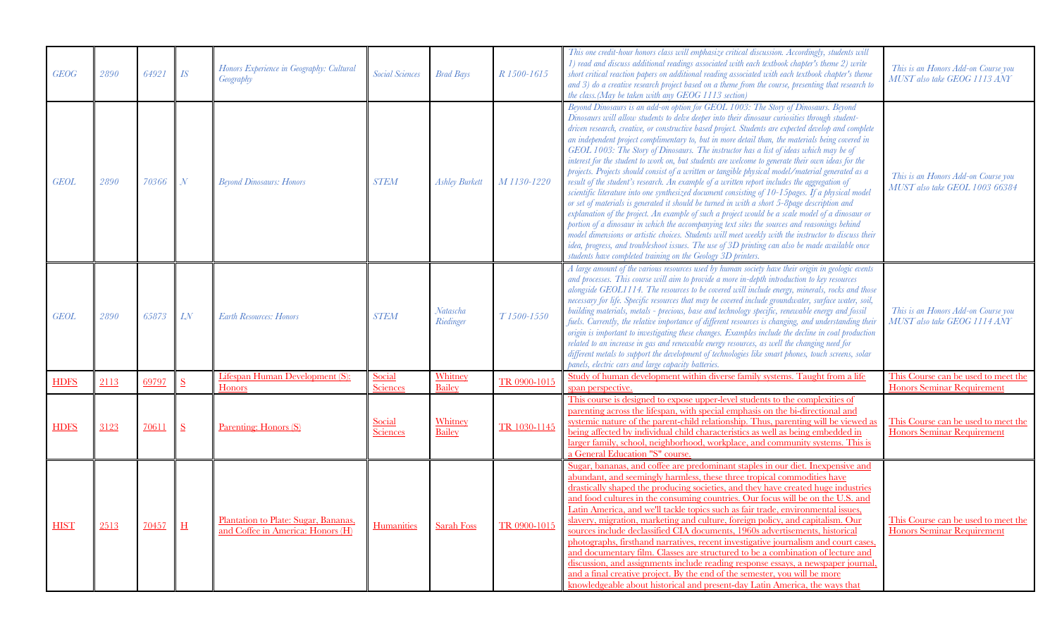| <b>GEOG</b> | 2890 | 64921 | $I\!S$                   | Honors Experience in Geography: Cultural<br>Geography                     | <b>Social Sciences</b>    | <b>Brad Bays</b>      | R 1500-1615            | This one credit-hour honors class will emphasize critical discussion. Accordingly, students will<br>1) read and discuss additional readings associated with each textbook chapter's theme 2) write<br>short critical reaction papers on additional reading associated with each textbook chapter's theme<br>and 3) do a creative research project based on a theme from the course, presenting that research to<br>the class. (May be taken with any GEOG 1113 section)                                                                                                                                                                                                                                                                                                                                                                                                                                                                                                                                                                                                                                                                                                                                                                                                                                                                                                                                                                                                                  | This is an Honors Add-on Course you<br>MUST also take GEOG 1113 ANY      |
|-------------|------|-------|--------------------------|---------------------------------------------------------------------------|---------------------------|-----------------------|------------------------|------------------------------------------------------------------------------------------------------------------------------------------------------------------------------------------------------------------------------------------------------------------------------------------------------------------------------------------------------------------------------------------------------------------------------------------------------------------------------------------------------------------------------------------------------------------------------------------------------------------------------------------------------------------------------------------------------------------------------------------------------------------------------------------------------------------------------------------------------------------------------------------------------------------------------------------------------------------------------------------------------------------------------------------------------------------------------------------------------------------------------------------------------------------------------------------------------------------------------------------------------------------------------------------------------------------------------------------------------------------------------------------------------------------------------------------------------------------------------------------|--------------------------------------------------------------------------|
| <b>GEOL</b> | 2890 | 70366 | $\overline{\mathcal{N}}$ | <b>Beyond Dinosaurs: Honors</b>                                           | <b>STEM</b>               | <b>Ashley Burkett</b> | M 1130-1220            | Beyond Dinosaurs is an add-on option for GEOL 1003: The Story of Dinosaurs. Beyond<br>Dinosaurs will allow students to delve deeper into their dinosaur curiosities through student-<br>driven research, creative, or constructive based project. Students are expected develop and complete<br>an independent project complimentary to, but in more detail than, the materials being covered in<br>GEOL 1003: The Story of Dinosaurs. The instructor has a list of ideas which may be of<br>interest for the student to work on, but students are welcome to generate their own ideas for the<br>projects. Projects should consist of a written or tangible physical model/material generated as a<br>result of the student's research. An example of a written report includes the aggregation of<br>scientific literature into one synthesized document consisting of 10-15 pages. If a physical model<br>or set of materials is generated it should be turned in with a short 5-8page description and<br>explanation of the project. An example of such a project would be a scale model of a dinosaur or<br>portion of a dinosaur in which the accompanying text sites the sources and reasonings behind<br>model dimensions or artistic choices. Students will meet weekly with the instructor to discuss their<br>idea, progress, and troubleshoot issues. The use of 3D printing can also be made available once<br>students have completed training on the Geology 3D printers. | This is an Honors Add-on Course you<br>MUST also take GEOL 1003 66384    |
| <b>GEOL</b> | 2890 | 65873 | LN                       | <b>Earth Resources: Honors</b>                                            | <b>STEM</b>               | Natascha<br>Riedinger | T <sub>1500-1550</sub> | A large amount of the various resources used by human society have their origin in geologic events<br>and processes. This course will aim to provide a more in-depth introduction to key resources<br>alongside GEOL1114. The resources to be covered will include energy, minerals, rocks and those<br>necessary for life. Specific resources that may be covered include groundwater, surface water, soil,<br>building materials, metals - precious, base and technology specific, renewable energy and fossil<br>fuels. Currently, the relative importance of different resources is changing, and understanding their<br>origin is important to investigating these changes. Examples include the decline in coal production<br>related to an increase in gas and renewable energy resources, as well the changing need for<br>different metals to support the development of technologies like smart phones, touch screens, solar<br>panels, electric cars and large capacity batteries.                                                                                                                                                                                                                                                                                                                                                                                                                                                                                            | This is an Honors Add-on Course you<br>MUST also take GEOG 1114 ANY      |
| <b>HDFS</b> | 2113 | 69797 | S                        | Lifespan Human Development (S):<br>Honors                                 | Social<br><b>Sciences</b> | Whitney<br>Bailey     | TR 0900-1015           | Study of human development within diverse family systems. Taught from a life<br>span perspective.                                                                                                                                                                                                                                                                                                                                                                                                                                                                                                                                                                                                                                                                                                                                                                                                                                                                                                                                                                                                                                                                                                                                                                                                                                                                                                                                                                                        | This Course can be used to meet the<br><b>Honors Seminar Requirement</b> |
| <b>HDFS</b> | 3123 | 70611 | S                        | Parenting: Honors (S)                                                     | Social<br><b>Sciences</b> | Whitney<br>Bailey     | TR 1030-1145           | This course is designed to expose upper-level students to the complexities of<br>parenting across the lifespan, with special emphasis on the bi-directional and<br>systemic nature of the parent-child relationship. Thus, parenting will be viewed as<br>being affected by individual child characteristics as well as being embedded in<br>larger family, school, neighborhood, workplace, and community systems. This is<br>a General Education "S" course.                                                                                                                                                                                                                                                                                                                                                                                                                                                                                                                                                                                                                                                                                                                                                                                                                                                                                                                                                                                                                           | This Course can be used to meet the<br><b>Honors Seminar Requirement</b> |
| <b>HIST</b> | 2513 | 70457 | $\overline{\mathbf{H}}$  | Plantation to Plate: Sugar, Bananas,<br>and Coffee in America: Honors (H) | Humanities                | <b>Sarah Foss</b>     | TR 0900-1015           | Sugar, bananas, and coffee are predominant staples in our diet. Inexpensive and<br>abundant, and seemingly harmless, these three tropical commodities have<br>drastically shaped the producing societies, and they have created huge industries<br>and food cultures in the consuming countries. Our focus will be on the U.S. and<br>Latin America, and we'll tackle topics such as fair trade, environmental issues,<br>slavery, migration, marketing and culture, foreign policy, and capitalism. Our<br>sources include declassified CIA documents, 1960s advertisements, historical<br>photographs, firsthand narratives, recent investigative journalism and court cases.<br>and documentary film. Classes are structured to be a combination of lecture and<br>discussion, and assignments include reading response essays, a newspaper journal<br>and a final creative project. By the end of the semester, you will be more<br>knowledgeable about historical and present-day Latin America, the ways that                                                                                                                                                                                                                                                                                                                                                                                                                                                                      | This Course can be used to meet the<br><b>Honors Seminar Requirement</b> |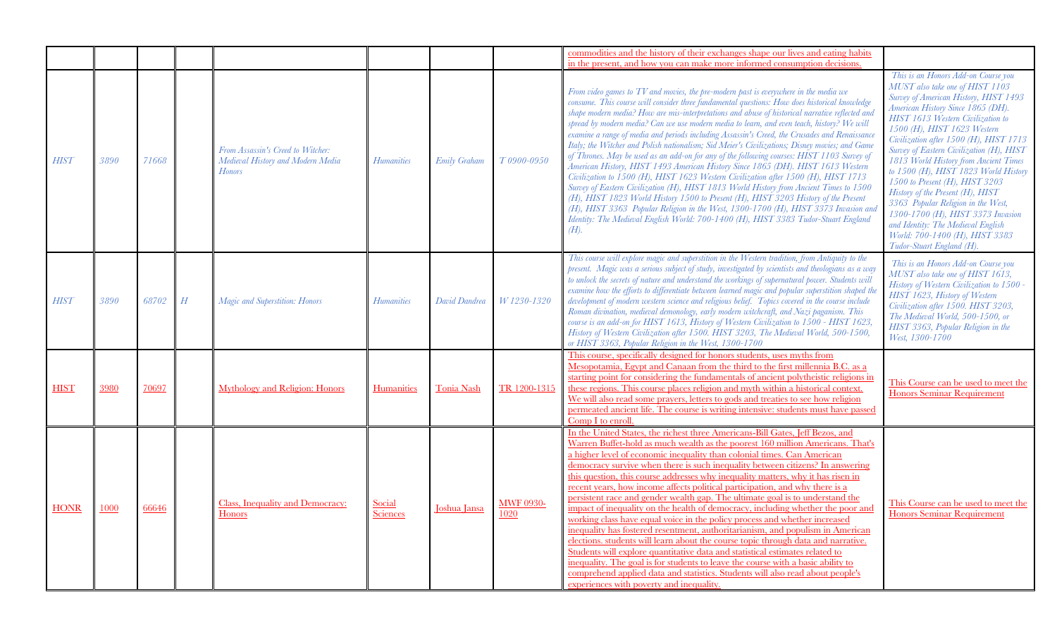|             |      |       |                  |                                                                                         |                           |                     |                          | commodities and the history of their exchanges shape our lives and eating habits                                                                                                                                                                                                                                                                                                                                                                                                                                                                                                                                                                                                                                                                                                                                                                                                                                                                                                                                                                                                                                                                                                                                                         |                                                                                                                                                                                                                                                                                                                                                                                                                                                                                                                                                                                                                                                       |
|-------------|------|-------|------------------|-----------------------------------------------------------------------------------------|---------------------------|---------------------|--------------------------|------------------------------------------------------------------------------------------------------------------------------------------------------------------------------------------------------------------------------------------------------------------------------------------------------------------------------------------------------------------------------------------------------------------------------------------------------------------------------------------------------------------------------------------------------------------------------------------------------------------------------------------------------------------------------------------------------------------------------------------------------------------------------------------------------------------------------------------------------------------------------------------------------------------------------------------------------------------------------------------------------------------------------------------------------------------------------------------------------------------------------------------------------------------------------------------------------------------------------------------|-------------------------------------------------------------------------------------------------------------------------------------------------------------------------------------------------------------------------------------------------------------------------------------------------------------------------------------------------------------------------------------------------------------------------------------------------------------------------------------------------------------------------------------------------------------------------------------------------------------------------------------------------------|
|             |      |       |                  |                                                                                         |                           |                     |                          | in the present, and how you can make more informed consumption decisions.                                                                                                                                                                                                                                                                                                                                                                                                                                                                                                                                                                                                                                                                                                                                                                                                                                                                                                                                                                                                                                                                                                                                                                |                                                                                                                                                                                                                                                                                                                                                                                                                                                                                                                                                                                                                                                       |
| <b>HIST</b> | 3890 | 71668 |                  | From Assassin's Creed to Witcher:<br>Medieval History and Modern Media<br><b>Honors</b> | <b>Humanities</b>         | <b>Emily Graham</b> | T0900-0950               | From video games to $TV$ and movies, the pre-modern past is everywhere in the media we<br>consume. This course will consider three fundamental questions: How does historical knowledge<br>shape modern media? How are mis-interpretations and abuse of historical narrative reflected and<br>spread by modern media? Can we use modern media to learn, and even teach, history? We will<br>examine a range of media and periods including Assassin's Creed, the Crusades and Renaissance<br>Italy; the Witcher and Polish nationalism; Sid Meier's Civilizations; Disney movies; and Game<br>of Thrones. May be used as an add-on for any of the following courses: HIST 1103 Survey of<br>American History, HIST 1493 American History Since 1865 (DH). HIST 1613 Western<br>Civilization to 1500 (H), HIST 1623 Western Civilization after 1500 (H), HIST 1713<br>Survey of Eastern Civilization (H), HIST 1813 World History from Ancient Times to 1500<br>(H), HIST 1823 World History 1500 to Present (H), HIST 3203 History of the Present<br>(H), HIST 3363 Popular Religion in the West, 1300-1700 (H), HIST 3373 Invasion and<br>Identity: The Medieval English World: 700-1400 (H), HIST 3383 Tudor-Stuart England<br>$(H)$ . | This is an Honors Add-on Course you<br>MUST also take one of HIST 1103<br>Survey of American History, HIST 1493<br>American History Since 1865 (DH).<br>HIST 1613 Western Civilization to<br>1500 (H), HIST 1623 Western<br>Civilization after 1500 (H), HIST 1713<br>Survey of Eastern Civilization (H), HIST<br>1813 World History from Ancient Times<br>to 1500 (H), HIST 1823 World History<br>1500 to Present (H), HIST 3203<br>History of the Present (H), HIST<br>3363 Popular Religion in the West,<br>1300-1700 (H), HIST 3373 Invasion<br>and Identity: The Medieval English<br>World: 700-1400 (H), HIST 3383<br>Tudor-Stuart England (H). |
| <b>HIST</b> | 3890 | 68702 | $\boldsymbol{H}$ | Magic and Superstition: Honors                                                          | <b>Humanities</b>         | David Dandrea       | W 1230-1320              | This course will explore magic and superstition in the Western tradition, from Antiquity to the<br>present. Magic was a serious subject of study, investigated by scientists and theologians as a way<br>to unlock the secrets of nature and understand the workings of supernatural power. Students will<br>examine how the efforts to differentiate between learned magic and popular superstition shaped the<br>development of modern western science and religious belief. Topics covered in the course include<br>Roman divination, medieval demonology, early modern witchcraft, and Nazi paganism. This<br>course is an add-on for HIST 1613, History of Western Civilization to 1500 - HIST 1623,<br>History of Western Civilization after 1500. HIST 3203, The Medieval World, 500-1500,<br>or HIST 3363, Popular Religion in the West, 1300-1700                                                                                                                                                                                                                                                                                                                                                                               | This is an Honors Add-on Course you<br>MUST also take one of HIST 1613,<br>History of Western Civilization to 1500 -<br>HIST 1623, History of Western<br>Civilization after 1500. HIST 3203,<br>The Medieval World, 500-1500, or<br>HIST 3363, Popular Religion in the<br>West, 1300-1700                                                                                                                                                                                                                                                                                                                                                             |
| <b>HIST</b> | 3980 | 70697 |                  | <b>Mythology and Religion: Honors</b>                                                   | <b>Humanities</b>         | <b>Tonia Nash</b>   | TR 1200-1315             | This course, specifically designed for honors students, uses myths from<br>Mesopotamia, Egypt and Canaan from the third to the first millennia B.C. as a<br>starting point for considering the fundamentals of ancient polytheistic religions in<br>these regions. This course places religion and myth within a historical context.<br>We will also read some prayers, letters to gods and treaties to see how religion<br>permeated ancient life. The course is writing intensive: students must have passed<br>Comp I to enroll.                                                                                                                                                                                                                                                                                                                                                                                                                                                                                                                                                                                                                                                                                                      | This Course can be used to meet the<br><b>Honors Seminar Requirement</b>                                                                                                                                                                                                                                                                                                                                                                                                                                                                                                                                                                              |
| <b>HONR</b> | 1000 | 66646 |                  | <b>Class, Inequality and Democracy:</b><br><b>Honors</b>                                | Social<br><b>Sciences</b> | Joshua Jansa        | <b>MWF 0930-</b><br>1020 | In the United States, the richest three Americans-Bill Gates, Jeff Bezos, and<br>Warren Buffet-hold as much wealth as the poorest 160 million Americans. That's<br>a higher level of economic inequality than colonial times. Can American<br>democracy survive when there is such inequality between citizens? In answering<br>this question, this course addresses why inequality matters, why it has risen in<br>recent years, how income affects political participation, and why there is a<br>persistent race and gender wealth gap. The ultimate goal is to understand the<br>impact of inequality on the health of democracy, including whether the poor and<br>working class have equal voice in the policy process and whether increased<br>inequality has fostered resentment, authoritarianism, and populism in American<br>elections. students will learn about the course topic through data and narrative.<br>Students will explore quantitative data and statistical estimates related to<br>inequality. The goal is for students to leave the course with a basic ability to<br>comprehend applied data and statistics. Students will also read about people's<br>experiences with poverty and inequality.              | This Course can be used to meet the<br><b>Honors Seminar Requirement</b>                                                                                                                                                                                                                                                                                                                                                                                                                                                                                                                                                                              |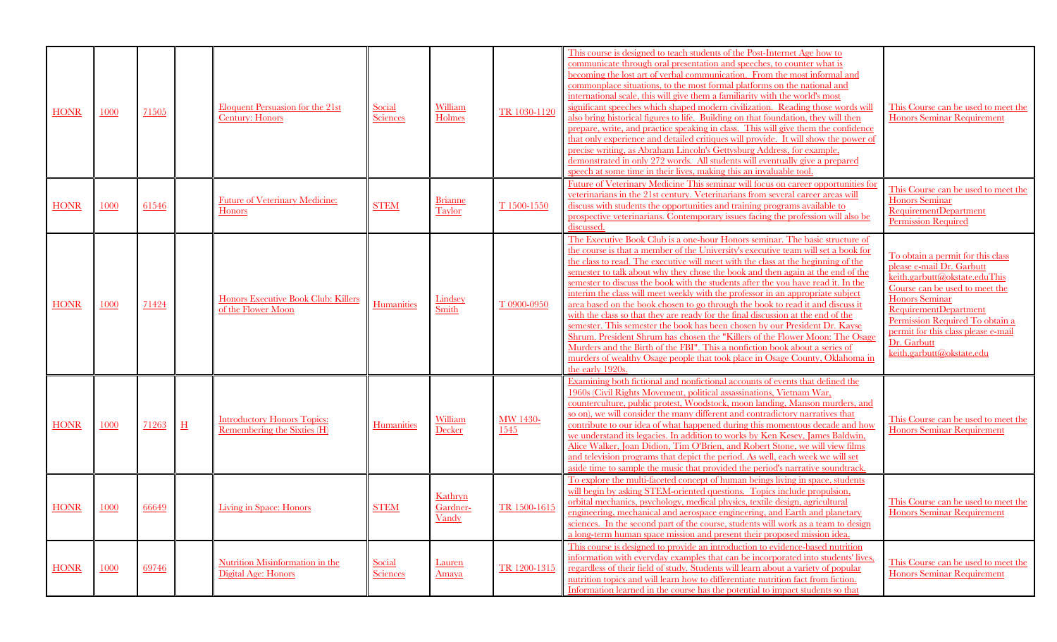| <b>HONR</b> | 1000 | 71505 |                       | <b>Eloquent Persuasion for the 21st</b><br><b>Century: Honors</b> | Social<br>Sciences        | William<br>Holmes                   | TR 1030-1120            | This course is designed to teach students of the Post-Internet Age how to<br>communicate through oral presentation and speeches, to counter what is<br>becoming the lost art of verbal communication. From the most informal and<br>commonplace situations, to the most formal platforms on the national and<br>international scale, this will give them a familiarity with the world's most<br>significant speeches which shaped modern civilization. Reading those words will<br>also bring historical figures to life. Building on that foundation, they will then<br>prepare, write, and practice speaking in class. This will give them the confidence<br>that only experience and detailed critiques will provide. It will show the power of<br>precise writing, as Abraham Lincoln's Gettysburg Address, for example,<br>demonstrated in only 272 words. All students will eventually give a prepared<br>speech at some time in their lives, making this an invaluable tool                                                         | This Course can be used to meet the<br><b>Honors Seminar Requirement</b>                                                                                                                                                                                                                                         |
|-------------|------|-------|-----------------------|-------------------------------------------------------------------|---------------------------|-------------------------------------|-------------------------|--------------------------------------------------------------------------------------------------------------------------------------------------------------------------------------------------------------------------------------------------------------------------------------------------------------------------------------------------------------------------------------------------------------------------------------------------------------------------------------------------------------------------------------------------------------------------------------------------------------------------------------------------------------------------------------------------------------------------------------------------------------------------------------------------------------------------------------------------------------------------------------------------------------------------------------------------------------------------------------------------------------------------------------------|------------------------------------------------------------------------------------------------------------------------------------------------------------------------------------------------------------------------------------------------------------------------------------------------------------------|
| <b>HONR</b> | 1000 | 61546 |                       | <b>Future of Veterinary Medicine:</b><br>Honors                   | <b>STEM</b>               | <b>Brianne</b><br>Taylor            | T 1500-1550             | Future of Veterinary Medicine This seminar will focus on career opportunities for<br>veterinarians in the 21st century. Veterinarians from several career areas will<br>discuss with students the opportunities and training programs available to<br>prospective veterinarians. Contemporary issues facing the profession will also be<br>discussed.                                                                                                                                                                                                                                                                                                                                                                                                                                                                                                                                                                                                                                                                                      | This Course can be used to meet the<br>Honors Seminar<br><b>RequirementDepartment</b><br><b>Permission Required</b>                                                                                                                                                                                              |
| <b>HONR</b> | 1000 | 71424 |                       | Honors Executive Book Club: Killers<br>of the Flower Moon         | Humanities                | Lindsey<br>Smith                    | T0900-0950              | The Executive Book Club is a one-hour Honors seminar. The basic structure of<br>the course is that a member of the University's executive team will set a book for<br>the class to read. The executive will meet with the class at the beginning of the<br>semester to talk about why they chose the book and then again at the end of the<br>semester to discuss the book with the students after the you have read it. In the<br>interim the class will meet weekly with the professor in an appropriate subject<br>area based on the book chosen to go through the book to read it and discuss it<br>with the class so that they are ready for the final discussion at the end of the<br>semester. This semester the book has been chosen by our President Dr. Kayse<br>Shrum. President Shrum has chosen the "Killers of the Flower Moon: The Osage<br>Murders and the Birth of the FBI". This a nonfiction book about a series of<br>murders of wealthy Osage people that took place in Osage County, Oklahoma in<br>the early 1920s. | To obtain a permit for this class<br>please e-mail Dr. Garbutt<br>keith.garbutt@okstate.eduThis<br>Course can be used to meet the<br><b>Honors</b> Seminar<br><b>RequirementDepartment</b><br>Permission Required To obtain a<br>permit for this class please e-mail<br>Dr. Garbutt<br>keith.garbutt@okstate.edu |
| <b>HONR</b> | 1000 | 71263 | $\overline{\text{H}}$ | <b>Introductory Honors Topics:</b><br>Remembering the Sixties (H) | <b>Humanities</b>         | William<br>Decker                   | <b>MW 1430-</b><br>1545 | Examining both fictional and nonfictional accounts of events that defined the<br>1960s (Civil Rights Movement, political assassinations, Vietnam War,<br>counterculture, public protest, Woodstock, moon landing, Manson murders, and<br>so on), we will consider the many different and contradictory narratives that<br>contribute to our idea of what happened during this momentous decade and how<br>we understand its legacies. In addition to works by Ken Kesey, James Baldwin,<br>Alice Walker, Joan Didion, Tim O'Brien, and Robert Stone, we will view films<br>and television programs that depict the period. As well, each week we will set<br>aside time to sample the music that provided the period's narrative soundtrack                                                                                                                                                                                                                                                                                                | This Course can be used to meet the<br><b>Honors Seminar Requirement</b>                                                                                                                                                                                                                                         |
| <b>HONR</b> | 1000 | 66649 |                       | Living in Space: Honors                                           | <b>STEM</b>               | Kathryn<br>Gardner-<br><u>Vandy</u> | TR 1500-1615            | To explore the multi-faceted concept of human beings living in space, students<br>will begin by asking STEM-oriented questions. Topics include propulsion,<br>orbital mechanics, psychology, medical physics, textile design, agricultural<br>engineering, mechanical and aerospace engineering, and Earth and planetary<br>sciences. In the second part of the course, students will work as a team to design<br>a long-term human space mission and present their proposed mission idea.                                                                                                                                                                                                                                                                                                                                                                                                                                                                                                                                                 | This Course can be used to meet the<br>Honors Seminar Requirement                                                                                                                                                                                                                                                |
| <b>HONR</b> | 1000 | 69746 |                       | <b>Nutrition Misinformation in the</b><br>Digital Age: Honors     | Social<br><b>Sciences</b> | <b>Lauren</b><br>Amaya              | TR 1200-1315            | This course is designed to provide an introduction to evidence-based nutrition<br>information with everyday examples that can be incorporated into students' lives,<br>regardless of their field of study. Students will learn about a variety of popular<br>nutrition topics and will learn how to differentiate nutrition fact from fiction.<br>Information learned in the course has the potential to impact students so that                                                                                                                                                                                                                                                                                                                                                                                                                                                                                                                                                                                                           | This Course can be used to meet the<br><b>Honors Seminar Requirement</b>                                                                                                                                                                                                                                         |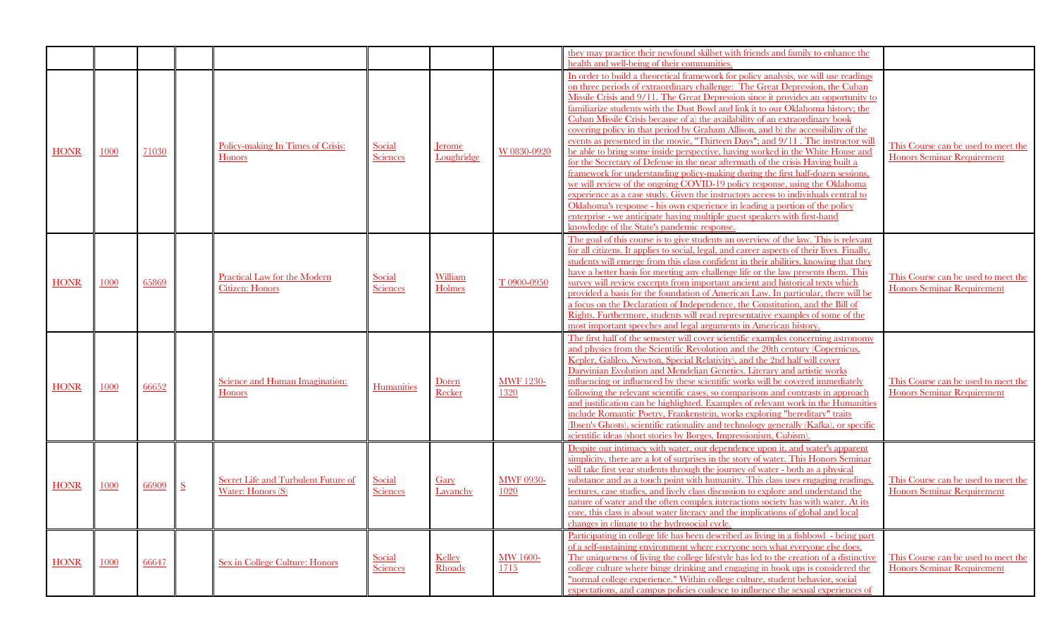|             |      |       |                          |                                                               |                                  |                     |                          | they may practice their newfound skillset with friends and family to enhance the<br>health and well-being of their communities.                                                                                                                                                                                                                                                                                                                                                                                                                                                                                                                                                                                                                                                                                                                                                                                                                                                                                                                                                                                                                                                                                                              |                                                                          |
|-------------|------|-------|--------------------------|---------------------------------------------------------------|----------------------------------|---------------------|--------------------------|----------------------------------------------------------------------------------------------------------------------------------------------------------------------------------------------------------------------------------------------------------------------------------------------------------------------------------------------------------------------------------------------------------------------------------------------------------------------------------------------------------------------------------------------------------------------------------------------------------------------------------------------------------------------------------------------------------------------------------------------------------------------------------------------------------------------------------------------------------------------------------------------------------------------------------------------------------------------------------------------------------------------------------------------------------------------------------------------------------------------------------------------------------------------------------------------------------------------------------------------|--------------------------------------------------------------------------|
| <b>HONR</b> | 1000 | 71030 |                          | Policy-making In Times of Crisis:<br><b>Honors</b>            | <b>Social</b><br><b>Sciences</b> | erome<br>Loughridge | W 0830-0920              | In order to build a theoretical framework for policy analysis, we will use readings<br>on three periods of extraordinary challenge: The Great Depression, the Cuban<br>Missile Crisis and 9/11. The Great Depression since it provides an opportunity to<br>familiarize students with the Dust Bowl and link it to our Oklahoma history; the<br>Cuban Missile Crisis because of a) the availability of an extraordinary book<br>covering policy in that period by Graham Allison, and b) the accessibility of the<br>events as presented in the movie, "Thirteen Days"; and 9/11. The instructor will<br>be able to bring some inside perspective, having worked in the White House and<br>for the Secretary of Defense in the near aftermath of the crisis Having built a<br>framework for understanding policy-making during the first half-dozen sessions,<br>we will review of the ongoing COVID-19 policy response, using the Oklahoma<br>experience as a case study. Given the instructors access to individuals central to<br>Oklahoma's response - his own experience in leading a portion of the policy<br>enterprise - we anticipate having multiple guest speakers with first-hand<br>knowledge of the State's pandemic response. | This Course can be used to meet the<br><b>Honors Seminar Requirement</b> |
| <b>HONR</b> | 1000 | 65869 |                          | <b>Practical Law for the Modern</b><br><b>Citizen: Honors</b> | Social<br><b>Sciences</b>        | William<br>Holmes   | T 0900-0950              | The goal of this course is to give students an overview of the law. This is relevant<br>for all citizens. It applies to social, legal, and career aspects of their lives. Finally,<br>students will emerge from this class confident in their abilities, knowing that they<br>have a better basis for meeting any challenge life or the law presents them. This<br>survey will review excerpts from important ancient and historical texts which<br>provided a basis for the foundation of American Law. In particular, there will be<br>a focus on the Declaration of Independence, the Constitution, and the Bill of<br>Rights. Furthermore, students will read representative examples of some of the<br>most important speeches and legal arguments in American history.                                                                                                                                                                                                                                                                                                                                                                                                                                                                 | This Course can be used to meet the<br>Honors Seminar Requirement        |
| <b>HONR</b> | 1000 | 66652 |                          | Science and Human Imagination:<br><b>Honors</b>               | Humanities                       | Doren<br>Recker     | <b>MWF 1230-</b><br>1320 | The first half of the semester will cover scientific examples concerning astronomy<br>and physics from the Scientific Revolution and the 20th century (Copernicus,<br>Kepler, Galileo, Newton, Special Relativity), and the 2nd half will cover<br>Darwinian Evolution and Mendelian Genetics. Literary and artistic works<br>influencing or influenced by these scientific works will be covered immediately<br>following the relevant scientific cases, so comparisons and contrasts in approach<br>and justification can be highlighted. Examples of relevant work in the Humanities<br>include Romantic Poetry, Frankenstein, works exploring "hereditary" traits<br>(Ibsen's Ghosts), scientific rationality and technology generally (Kafka), or specific<br>scientific ideas (short stories by Borges, Impressionism, Cubism)                                                                                                                                                                                                                                                                                                                                                                                                         | This Course can be used to meet the<br><b>Honors Seminar Requirement</b> |
| <b>HONR</b> | 1000 | 66909 | $\underline{\mathbf{S}}$ | Secret Life and Turbulent Future of<br>Water: Honors (S)      | Social<br><b>Sciences</b>        | Gary<br>Lavanchy    | <b>MWF 0930-</b><br>1020 | Despite our intimacy with water, our dependence upon it, and water's apparent<br>simplicity, there are a lot of surprises in the story of water. This Honors Seminar<br>will take first year students through the journey of water - both as a physical<br>substance and as a touch point with humanity. This class uses engaging readings.<br>lectures, case studies, and lively class discussion to explore and understand the<br>nature of water and the often complex interactions society has with water. At its<br>core, this class is about water literacy and the implications of global and local<br>changes in climate to the hydrosocial cycle.                                                                                                                                                                                                                                                                                                                                                                                                                                                                                                                                                                                   | This Course can be used to meet the<br>Honors Seminar Requirement        |
| <b>HONR</b> | 1000 | 66647 |                          | Sex in College Culture: Honors                                | Social<br><b>Sciences</b>        | Kelley<br>Rhoads    | <b>MW 1600-</b><br>1715  | Participating in college life has been described as living in a fishbowl - being part<br>of a self-sustaining environment where everyone sees what everyone else does.<br>The uniqueness of living the college lifestyle has led to the creation of a distinctive<br>college culture where binge drinking and engaging in hook ups is considered the<br>"normal college experience." Within college culture, student behavior, social<br>expectations, and campus policies coalesce to influence the sexual experiences of                                                                                                                                                                                                                                                                                                                                                                                                                                                                                                                                                                                                                                                                                                                   | This Course can be used to meet the<br><b>Honors Seminar Requirement</b> |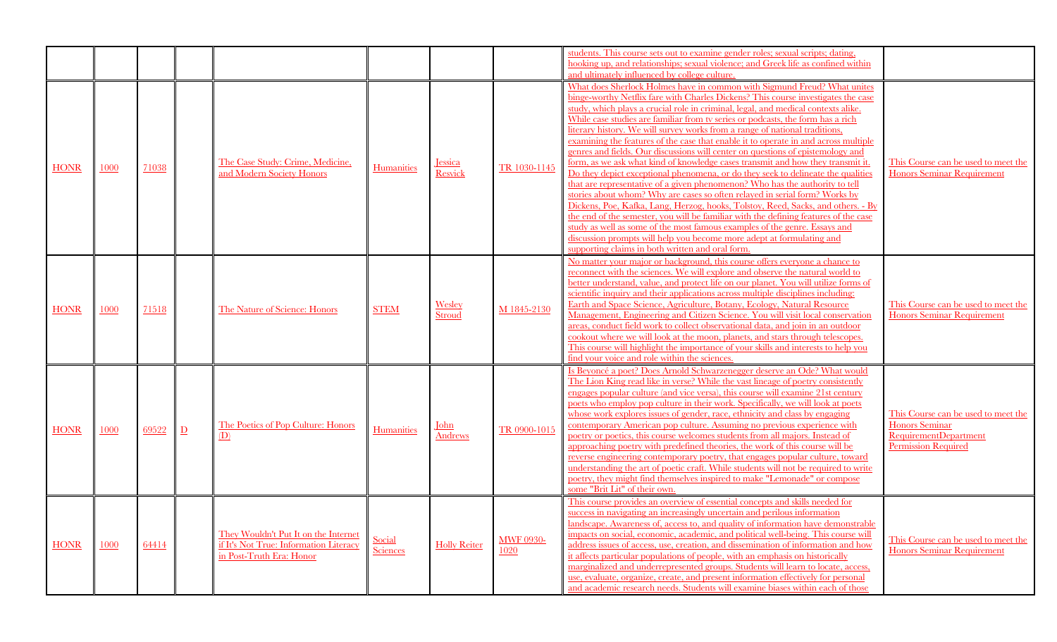|             |      |       |                |                                                                                                            |                    |                        |                          | students. This course sets out to examine gender roles; sexual scripts; dating,<br>hooking up, and relationships; sexual violence; and Greek life as confined within<br>and ultimately influenced by college culture.                                                                                                                                                                                                                                                                                                                                                                                                                                                                                                                                                                                                                                                                                                                                                                                                                                                                                                                                                                                                                                                                                                       |                                                                                                                            |
|-------------|------|-------|----------------|------------------------------------------------------------------------------------------------------------|--------------------|------------------------|--------------------------|-----------------------------------------------------------------------------------------------------------------------------------------------------------------------------------------------------------------------------------------------------------------------------------------------------------------------------------------------------------------------------------------------------------------------------------------------------------------------------------------------------------------------------------------------------------------------------------------------------------------------------------------------------------------------------------------------------------------------------------------------------------------------------------------------------------------------------------------------------------------------------------------------------------------------------------------------------------------------------------------------------------------------------------------------------------------------------------------------------------------------------------------------------------------------------------------------------------------------------------------------------------------------------------------------------------------------------|----------------------------------------------------------------------------------------------------------------------------|
| <b>HONR</b> | 1000 | 71038 |                | The Case Study: Crime, Medicine,<br>and Modern Society Honors                                              | Humanities         | essica<br>Resvick      | TR 1030-1145             | What does Sherlock Holmes have in common with Sigmund Freud? What unites<br>binge-worthy Netflix fare with Charles Dickens? This course investigates the case<br>study, which plays a crucial role in criminal, legal, and medical contexts alike.<br>While case studies are familiar from tv series or podcasts, the form has a rich<br>literary history. We will survey works from a range of national traditions,<br>examining the features of the case that enable it to operate in and across multiple<br>genres and fields. Our discussions will center on questions of epistemology and<br>form, as we ask what kind of knowledge cases transmit and how they transmit it.<br>Do they depict exceptional phenomena, or do they seek to delineate the qualities<br>that are representative of a given phenomenon? Who has the authority to tell<br>stories about whom? Why are cases so often relayed in serial form? Works by<br>Dickens, Poe, Kafka, Lang, Herzog, hooks, Tolstoy, Reed, Sacks, and others. - By<br>the end of the semester, you will be familiar with the defining features of the case<br>study as well as some of the most famous examples of the genre. Essays and<br>discussion prompts will help you become more adept at formulating and<br>supporting claims in both written and oral form. | This Course can be used to meet the<br><b>Honors Seminar Requirement</b>                                                   |
| <b>HONR</b> | 1000 | 71518 |                | The Nature of Science: Honors                                                                              | <b>STEM</b>        | Wesley<br>Stroud       | M 1845-2130              | No matter your major or background, this course offers everyone a chance to<br>reconnect with the sciences. We will explore and observe the natural world to<br>better understand, value, and protect life on our planet. You will utilize forms of<br>scientific inquiry and their applications across multiple disciplines including:<br>Earth and Space Science, Agriculture, Botany, Ecology, Natural Resource<br>Management, Engineering and Citizen Science. You will visit local conservation<br>areas, conduct field work to collect observational data, and join in an outdoor<br>cookout where we will look at the moon, planets, and stars through telescopes.<br>This course will highlight the importance of your skills and interests to help you<br>find your voice and role within the sciences.                                                                                                                                                                                                                                                                                                                                                                                                                                                                                                            | This Course can be used to meet the<br><b>Honors Seminar Requirement</b>                                                   |
| <b>HONR</b> | 1000 | 69522 | $\overline{D}$ | The Poetics of Pop Culture: Honors<br>(D)                                                                  | Humanities         | <u>John</u><br>Andrews | TR 0900-1015             | Is Beyoncé a poet? Does Arnold Schwarzenegger deserve an Ode? What would<br>The Lion King read like in verse? While the vast lineage of poetry consistently<br>engages popular culture (and vice versa), this course will examine 21st century<br>poets who employ pop culture in their work. Specifically, we will look at poets<br>whose work explores issues of gender, race, ethnicity and class by engaging<br>contemporary American pop culture. Assuming no previous experience with<br>poetry or poetics, this course welcomes students from all majors. Instead of<br>approaching poetry with predefined theories, the work of this course will be<br>reverse engineering contemporary poetry, that engages popular culture, toward<br>understanding the art of poetic craft. While students will not be required to write<br>poetry, they might find themselves inspired to make "Lemonade" or compose<br>some "Brit Lit" of their own.                                                                                                                                                                                                                                                                                                                                                                           | This Course can be used to meet the<br><b>Honors</b> Seminar<br><b>RequirementDepartment</b><br><b>Permission Required</b> |
| <b>HONR</b> | 1000 | 64414 |                | They Wouldn't Put It on the Internet<br>if It's Not True: Information Literacy<br>in Post-Truth Era: Honor | Social<br>Sciences | <b>Holly Reiter</b>    | <b>MWF 0930-</b><br>1020 | This course provides an overview of essential concepts and skills needed for<br>success in navigating an increasingly uncertain and perilous information<br>landscape. Awareness of, access to, and quality of information have demonstrable<br>impacts on social, economic, academic, and political well-being. This course will<br>address issues of access, use, creation, and dissemination of information and how<br>it affects particular populations of people, with an emphasis on historically<br>marginalized and underrepresented groups. Students will learn to locate, access,<br>use, evaluate, organize, create, and present information effectively for personal<br>and academic research needs. Students will examine biases within each of those                                                                                                                                                                                                                                                                                                                                                                                                                                                                                                                                                          | This Course can be used to meet the<br><b>Honors Seminar Requirement</b>                                                   |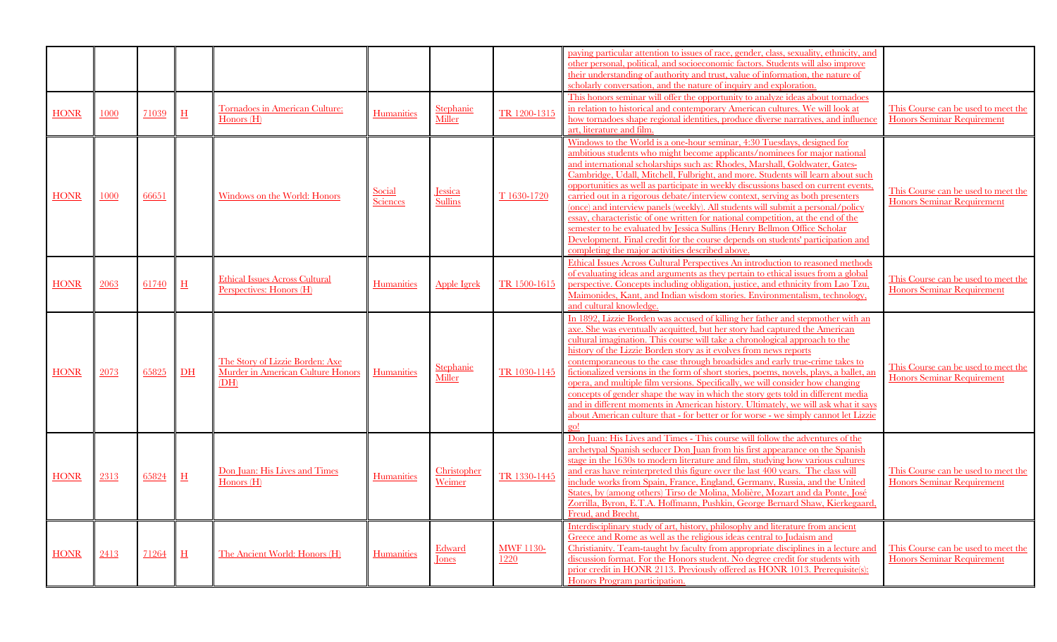|             |      |       |                       |                                                                              |                           |                               |                          | paying particular attention to issues of race, gender, class, sexuality, ethnicity, and<br>other personal, political, and socioeconomic factors. Students will also improve<br>their understanding of authority and trust, value of information, the nature of<br>scholarly conversation, and the nature of inquiry and exploration.<br>This honors seminar will offer the opportunity to analyze ideas about tornadoes                                                                                                                                                                                                                                                                                                                                                                                                                                                                      |                                                                          |
|-------------|------|-------|-----------------------|------------------------------------------------------------------------------|---------------------------|-------------------------------|--------------------------|----------------------------------------------------------------------------------------------------------------------------------------------------------------------------------------------------------------------------------------------------------------------------------------------------------------------------------------------------------------------------------------------------------------------------------------------------------------------------------------------------------------------------------------------------------------------------------------------------------------------------------------------------------------------------------------------------------------------------------------------------------------------------------------------------------------------------------------------------------------------------------------------|--------------------------------------------------------------------------|
| <b>HONR</b> | 1000 | 71039 | H                     | Tornadoes in American Culture:<br>Honors $(H)$                               | Humanities                | Stephanie<br>Miller           | TR 1200-1315             | in relation to historical and contemporary American cultures. We will look at<br>how tornadoes shape regional identities, produce diverse narratives, and influence<br>art, literature and film.                                                                                                                                                                                                                                                                                                                                                                                                                                                                                                                                                                                                                                                                                             | This Course can be used to meet the<br><b>Honors Seminar Requirement</b> |
| <b>HONR</b> | 1000 | 66651 |                       | Windows on the World: Honors                                                 | Social<br><b>Sciences</b> | Jessica<br><b>Sullins</b>     | T 1630-1720              | Windows to the World is a one-hour seminar, 4:30 Tuesdays, designed for<br>ambitious students who might become applicants/nominees for major national<br>and international scholarships such as: Rhodes, Marshall, Goldwater, Gates-<br>Cambridge, Udall, Mitchell, Fulbright, and more. Students will learn about such<br>opportunities as well as participate in weekly discussions based on current events,<br>carried out in a rigorous debate/interview context, serving as both presenters<br>(once) and interview panels (weekly). All students will submit a personal/policy<br>essay, characteristic of one written for national competition, at the end of the<br>semester to be evaluated by Jessica Sullins (Henry Bellmon Office Scholar<br>Development. Final credit for the course depends on students' participation and<br>completing the major activities described above. | This Course can be used to meet the<br><b>Honors Seminar Requirement</b> |
| <b>HONR</b> | 2063 | 61740 | $H_{\rm}$             | <b>Ethical Issues Across Cultural</b><br>Perspectives: Honors (H)            | Humanities                | Apple Igrek                   | TR 1500-1615             | Ethical Issues Across Cultural Perspectives An introduction to reasoned methods<br>of evaluating ideas and arguments as they pertain to ethical issues from a global<br>perspective. Concepts including obligation, justice, and ethnicity from Lao Tzu,<br>Maimonides, Kant, and Indian wisdom stories. Environmentalism, technology,<br>and cultural knowledge.                                                                                                                                                                                                                                                                                                                                                                                                                                                                                                                            | This Course can be used to meet the<br><b>Honors Seminar Requirement</b> |
| <b>HONR</b> | 2073 | 65825 | D <sub>H</sub>        | The Story of Lizzie Borden: Axe<br>Murder in American Culture Honors<br>(DH) | Humanities                | Stephanie<br>Miller           | TR 1030-1145             | In 1892, Lizzie Borden was accused of killing her father and stepmother with an<br>axe. She was eventually acquitted, but her story had captured the American<br>cultural imagination. This course will take a chronological approach to the<br>history of the Lizzie Borden story as it evolves from news reports<br>contemporaneous to the case through broadsides and early true-crime takes to<br>fictionalized versions in the form of short stories, poems, novels, plays, a ballet, an<br>opera, and multiple film versions. Specifically, we will consider how changing<br>concepts of gender shape the way in which the story gets told in different media<br>and in different moments in American history. Ultimately, we will ask what it says<br>about American culture that - for better or for worse - we simply cannot let Lizzie<br>$\sigma$ <sup>1</sup>                    | This Course can be used to meet the<br><b>Honors Seminar Requirement</b> |
| <b>HONR</b> | 2313 | 65824 | $\overline{\text{H}}$ | Don Juan: His Lives and Times<br>Honors (H)                                  | Humanities                | Christopher<br>Weimer         | TR 1330-1445             | Don Juan: His Lives and Times - This course will follow the adventures of the<br>archetypal Spanish seducer Don Juan from his first appearance on the Spanish<br>stage in the 1630s to modern literature and film, studying how various cultures<br>and eras have reinterpreted this figure over the last 400 years. The class will<br>include works from Spain, France, England, Germany, Russia, and the United<br>States, by (among others) Tirso de Molina, Molière, Mozart and da Ponte, José<br>Zorrilla, Byron, E.T.A. Hoffmann, Pushkin, George Bernard Shaw, Kierkegaard.<br>Freud, and Brecht.                                                                                                                                                                                                                                                                                     | This Course can be used to meet the<br><b>Honors Seminar Requirement</b> |
| <b>HONR</b> | 2413 | 71264 | $\mathbf H$           | The Ancient World: Honors (H)                                                | Humanities                | <b>Edward</b><br><b>Jones</b> | <b>MWF 1130-</b><br>1220 | Interdisciplinary study of art, history, philosophy and literature from ancient<br>Greece and Rome as well as the religious ideas central to Judaism and<br>Christianity. Team-taught by faculty from appropriate disciplines in a lecture and<br>discussion format. For the Honors student. No degree credit for students with<br>prior credit in HONR 2113. Previously offered as HONR 1013. Prerequisite(s):<br>Honors Program participation.                                                                                                                                                                                                                                                                                                                                                                                                                                             | This Course can be used to meet the<br><b>Honors Seminar Requirement</b> |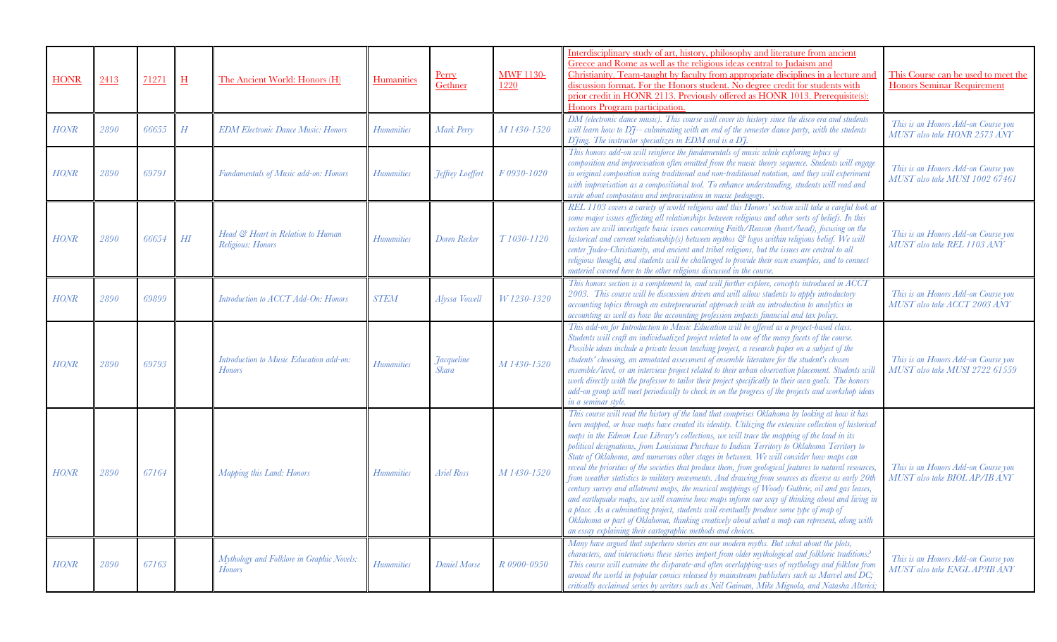| <b>HONR</b> | 2413 | 71271 | H      | The Ancient World: Honors (H)                              | Humanities        | <u>Perry</u><br>Gethner    | <b>MWF 1130-</b><br>1220 | Interdisciplinary study of art, history, philosophy and literature from ancient<br>Greece and Rome as well as the religious ideas central to Judaism and<br>Christianity. Team-taught by faculty from appropriate disciplines in a lecture and<br>discussion format. For the Honors student. No degree credit for students with<br>prior credit in HONR 2113. Previously offered as HONR 1013. Prerequisite(s):<br>Honors Program participation.<br>DM (electronic dance music). This course will cover its history since the disco era and students                                                                                                                                                                                                                                                                                                                                                                                                                                                                                                                                                                                                                     | This Course can be used to meet the<br><b>Honors Seminar Requirement</b> |
|-------------|------|-------|--------|------------------------------------------------------------|-------------------|----------------------------|--------------------------|--------------------------------------------------------------------------------------------------------------------------------------------------------------------------------------------------------------------------------------------------------------------------------------------------------------------------------------------------------------------------------------------------------------------------------------------------------------------------------------------------------------------------------------------------------------------------------------------------------------------------------------------------------------------------------------------------------------------------------------------------------------------------------------------------------------------------------------------------------------------------------------------------------------------------------------------------------------------------------------------------------------------------------------------------------------------------------------------------------------------------------------------------------------------------|--------------------------------------------------------------------------|
| HONR        | 2890 | 66655 | H      | <b>EDM Electronic Dance Music: Honors</b>                  | <b>Humanities</b> | Mark Perry                 | M 1430-1520              | will learn how to DJ-- culminating with an end of the semester dance party, with the students<br>Dfing. The instructor specializes in EDM and is a Df.                                                                                                                                                                                                                                                                                                                                                                                                                                                                                                                                                                                                                                                                                                                                                                                                                                                                                                                                                                                                                   | This is an Honors Add-on Course you<br>MUST also take HONR 2573 ANY      |
| <b>HONR</b> | 2890 | 69791 |        | Fundamentals of Music add-on: Honors                       | <b>Humanities</b> | <b>Jeffrey Loeffert</b>    | F0930-1020               | This honors add-on will reinforce the fundamentals of music while exploring topics of<br>composition and improvisation often omitted from the music theory sequence. Students will engage<br>in original composition using traditional and non-traditional notation, and they will experiment<br>with improvisation as a compositional tool. To enhance understanding, students will read and<br>write about composition and improvisation in music pedagogy.                                                                                                                                                                                                                                                                                                                                                                                                                                                                                                                                                                                                                                                                                                            | This is an Honors Add-on Course you<br>MUST also take MUSI 1002 67461    |
| <b>HONR</b> | 2890 | 66654 | $H\!I$ | Head & Heart in Relation to Human<br>Religious: Honors     | <b>Humanities</b> | Doren Recker               | T <sub>1030-1120</sub>   | REL 1103 covers a variety of world religions and this Honors' section will take a careful look at<br>some major issues affecting all relationships between religious and other sorts of beliefs. In this<br>section we will investigate basic issues concerning Faith/Reason (heart/head), focusing on the<br>historical and current relationship(s) between mythos $\mathcal G$ logos within religious belief. We will<br>center Judeo-Christianity, and ancient and tribal religions, but the issues are central to all<br>religious thought, and students will be challenged to provide their own examples, and to connect<br>material covered here to the other religions discussed in the course.                                                                                                                                                                                                                                                                                                                                                                                                                                                                   | This is an Honors Add-on Course you<br>MUST also take REL 1103 ANY       |
| <b>HONR</b> | 2890 | 69899 |        | Introduction to ACCT Add-On: Honors                        | <b>STEM</b>       | Alyssa Vowell              | W 1230-1320              | This honors section is a complement to, and will further explore, concepts introduced in ACCT<br>2003. This course will be discussion driven and will allow students to apply introductory<br>accounting topics through an entrepreneurial approach with an introduction to analytics in<br>accounting as well as how the accounting profession impacts financial and tax policy.                                                                                                                                                                                                                                                                                                                                                                                                                                                                                                                                                                                                                                                                                                                                                                                        | This is an Honors Add-on Course you<br>MUST also take ACCT 2003 ANY      |
| <b>HONR</b> | 2890 | 69793 |        | Introduction to Music Education add-on:<br><b>Honors</b>   | <b>Humanities</b> | <b>Jacqueline</b><br>Skara | M 1430-1520              | This add-on for Introduction to Music Education will be offered as a project-based class.<br>Students will craft an individualized project related to one of the many facets of the course.<br>Possible ideas include a private lesson teaching project, a research paper on a subject of the<br>students' choosing, an annotated assessment of ensemble literature for the student's chosen<br>ensemble/level, or an interview project related to their urban observation placement. Students will<br>work directly with the professor to tailor their project specifically to their own goals. The honors<br>add-on group will meet periodically to check in on the progress of the projects and workshop ideas<br>in a seminar style.                                                                                                                                                                                                                                                                                                                                                                                                                                 | This is an Honors Add-on Course you<br>MUST also take MUSI 2722 61559    |
| <b>HONR</b> | 2890 | 67164 |        | Mapping this Land: Honors                                  | <b>Humanities</b> | <b>Ariel Ross</b>          | M 1430-1520              | This course will read the history of the land that comprises Oklahoma by looking at how it has<br>been mapped, or how maps have created its identity. Utilizing the extensive collection of historical<br>maps in the Edmon Low Library's collections, we will trace the mapping of the land in its<br>political designations, from Louisiana Purchase to Indian Territory to Oklahoma Territory to<br>State of Oklahoma, and numerous other stages in between. We will consider how maps can<br>reveal the priorities of the societies that produce them, from geological features to natural resources,<br>from weather statistics to military movements. And drawing from sources as diverse as early 20th<br>century survey and allotment maps, the musical mappings of Woody Guthrie, oil and gas leases,<br>and earthquake maps, we will examine how maps inform our way of thinking about and living in<br>a place. As a culminating project, students will eventually produce some type of map of<br>Oklahoma or part of Oklahoma, thinking creatively about what a map can represent, along with<br>an essay explaining their cartographic methods and choices. | This is an Honors Add-on Course you<br>MUST also take BIOL AP/IB ANY     |
| HONR        | 2890 | 67163 |        | Mythology and Folklore in Graphic Novels:<br><b>Honors</b> | Humanities        | Daniel Morse               | R 0900-0950              | Many have argued that superhero stories are our modern myths. But what about the plots,<br>characters, and interactions these stories import from older mythological and folkloric traditions?<br>This course will examine the disparate-and often overlapping-uses of mythology and folklore from<br>around the world in popular comics released by mainstream publishers such as Marvel and $DC$ ;<br>critically acclaimed series by writers such as Neil Gaiman, Mike Mignola, and Natasha Alterici;                                                                                                                                                                                                                                                                                                                                                                                                                                                                                                                                                                                                                                                                  | This is an Honors Add-on Course you<br>MUST also take ENGL AP?IB ANY     |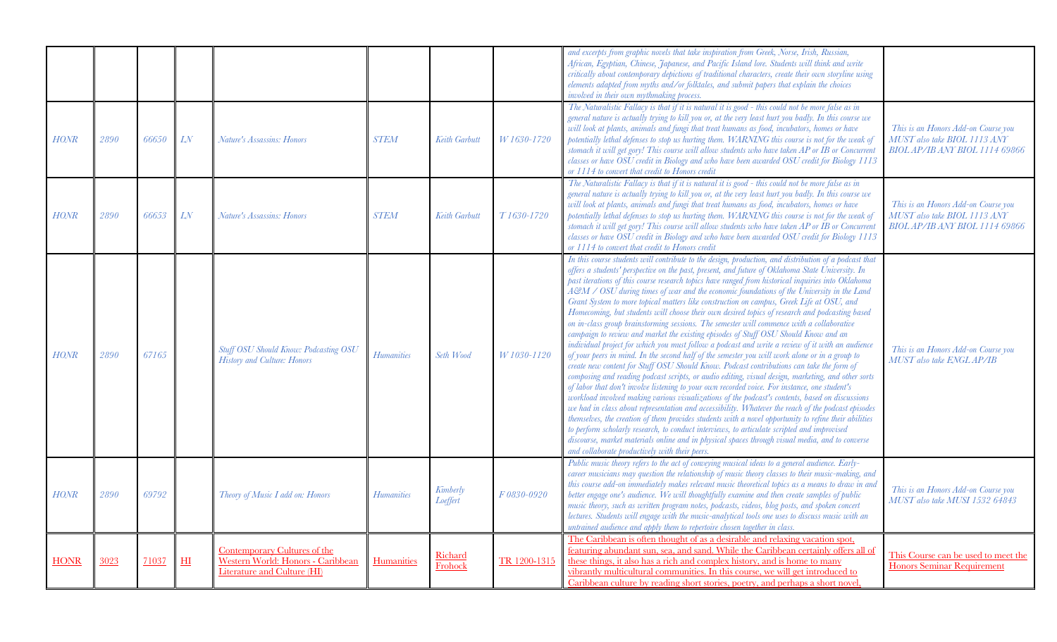|             |      |       |                |                                                                                                  |                   |                      |              | and excerpts from graphic novels that take inspiration from Greek, Norse, Irish, Russian,<br>African, Egyptian, Chinese, Japanese, and Pacific Island lore. Students will think and write<br>critically about contemporary depictions of traditional characters, create their own storyline using<br>elements adapted from myths and/or folktales, and submit papers that explain the choices<br>involved in their own mythmaking process.                                                                                                                                                                                                                                                                                                                                                                                                                                                                                                                                                                                                                                                                                                                                                                                                                                                                                                                                                                                                                                                                                                                                                                                                                                                                                                                                                                                                                                         |                                                                                                              |
|-------------|------|-------|----------------|--------------------------------------------------------------------------------------------------|-------------------|----------------------|--------------|------------------------------------------------------------------------------------------------------------------------------------------------------------------------------------------------------------------------------------------------------------------------------------------------------------------------------------------------------------------------------------------------------------------------------------------------------------------------------------------------------------------------------------------------------------------------------------------------------------------------------------------------------------------------------------------------------------------------------------------------------------------------------------------------------------------------------------------------------------------------------------------------------------------------------------------------------------------------------------------------------------------------------------------------------------------------------------------------------------------------------------------------------------------------------------------------------------------------------------------------------------------------------------------------------------------------------------------------------------------------------------------------------------------------------------------------------------------------------------------------------------------------------------------------------------------------------------------------------------------------------------------------------------------------------------------------------------------------------------------------------------------------------------------------------------------------------------------------------------------------------------|--------------------------------------------------------------------------------------------------------------|
| <b>HONR</b> | 2890 | 66650 | LN             | Nature's Assassins: Honors                                                                       | <b>STEM</b>       | Keith Garbutt        | W 1630-1720  | The Naturalistic Fallacy is that if it is natural it is good - this could not be more false as in<br>general nature is actually trying to kill you or, at the very least hurt you badly. In this course we<br>will look at plants, animals and fungi that treat humans as food, incubators, homes or have<br>potentially lethal defenses to stop us hurting them. WARNING this course is not for the weak of<br>stomach it will get gory! This course will allow students who have taken AP or IB or Concurrent<br>classes or have OSU credit in Biology and who have been awarded OSU credit for Biology 1113<br>or 1114 to convert that credit to Honors credit                                                                                                                                                                                                                                                                                                                                                                                                                                                                                                                                                                                                                                                                                                                                                                                                                                                                                                                                                                                                                                                                                                                                                                                                                  | This is an Honors Add-on Course you<br>MUST also take BIOL 1113 ANY<br>BIOL AP/IB ANY BIOL 1114 69866        |
| <b>HONR</b> | 2890 | 66653 | LN             | Nature's Assassins: Honors                                                                       | <b>STEM</b>       | Keith Garbutt        | T1630-1720   | The Naturalistic Fallacy is that if it is natural it is good - this could not be more false as in<br>general nature is actually trying to kill you or, at the very least hurt you badly. In this course we<br>will look at plants, animals and fungi that treat humans as food, incubators, homes or have<br>potentially lethal defenses to stop us hurting them. WARNING this course is not for the weak of<br>stomach it will get gory! This course will allow students who have taken AP or IB or Concurrent<br>classes or have OSU credit in Biology and who have been awarded OSU credit for Biology 1113<br>or 1114 to convert that credit to Honors credit                                                                                                                                                                                                                                                                                                                                                                                                                                                                                                                                                                                                                                                                                                                                                                                                                                                                                                                                                                                                                                                                                                                                                                                                                  | This is an Honors Add-on Course you<br>MUST also take BIOL 1113 ANY<br><b>BIOL AP/IB ANY BIOL 1114 69866</b> |
| <b>HONR</b> | 2890 | 67165 |                | <b>Stuff OSU Should Know: Podcasting OSU</b><br>History and Culture: Honors                      | <b>Humanities</b> | Seth Wood            | W 1030-1120  | In this course students will contribute to the design, production, and distribution of a podcast that<br>offers a students' perspective on the past, present, and future of Oklahoma State University. In<br>past iterations of this course research topics have ranged from historical inquiries into Oklahoma<br>$A$ $B$ M / OSU during times of war and the economic foundations of the University in the Land<br>Grant System to more topical matters like construction on campus, Greek Life at OSU, and<br>Homecoming, but students will choose their own desired topics of research and podcasting based<br>on in-class group brainstorming sessions. The semester will commence with a collaborative<br>campaign to review and market the existing episodes of Stuff OSU Should Know and an<br>individual project for which you must follow a podcast and write a review of it with an audience<br>of your peers in mind. In the second half of the semester you will work alone or in a group to<br>create new content for Stuff OSU Should Know. Podcast contributions can take the form of<br>composing and reading podcast scripts, or audio editing, visual design, marketing, and other sorts<br>of labor that don't involve listening to your own recorded voice. For instance, one student's<br>workload involved making various visualizations of the podcast's contents, based on discussions<br>we had in class about representation and accessibility. Whatever the reach of the podcast episodes<br>themselves, the creation of them provides students with a novel opportunity to refine their abilities<br>to perform scholarly research, to conduct interviews, to articulate scripted and improvised<br>discourse, market materials online and in physical spaces through visual media, and to converse<br>and collaborate productively with their peers. | This is an Honors Add-on Course you<br>MUST also take ENGL AP/IB                                             |
| <b>HONR</b> | 2890 | 69792 |                | Theory of Music I add on: Honors                                                                 | <b>Humanities</b> | Kimberly<br>Loeffert | F0830-0920   | Public music theory refers to the act of conveying musical ideas to a general audience. Early-<br>career musicians may question the relationship of music theory classes to their music-making, and<br>this course add-on immediately makes relevant music theoretical topics as a means to draw in and<br>better engage one's audience. We will thoughtfully examine and then create samples of public<br>music theory, such as written program notes, podcasts, videos, blog posts, and spoken concert<br>lectures. Students will engage with the music-analytical tools one uses to discuss music with an<br>untrained audience and apply them to repertoire chosen together in class.                                                                                                                                                                                                                                                                                                                                                                                                                                                                                                                                                                                                                                                                                                                                                                                                                                                                                                                                                                                                                                                                                                                                                                                          | This is an Honors Add-on Course you<br>MUST also take MUSI 1532 64843                                        |
| <b>HONR</b> | 3023 | 71037 | H <sub>I</sub> | Contemporary Cultures of the<br>Western World: Honors - Caribbean<br>Literature and Culture (HI) | Humanities        | Richard<br>Frohock   | TR 1200-1315 | The Caribbean is often thought of as a desirable and relaxing vacation spot,<br>featuring abundant sun, sea, and sand. While the Caribbean certainly offers all of<br>these things, it also has a rich and complex history, and is home to many<br>vibrantly multicultural communities. In this course, we will get introduced to<br>Caribbean culture by reading short stories, poetry, and perhaps a short novel.                                                                                                                                                                                                                                                                                                                                                                                                                                                                                                                                                                                                                                                                                                                                                                                                                                                                                                                                                                                                                                                                                                                                                                                                                                                                                                                                                                                                                                                                | This Course can be used to meet the<br><b>Honors Seminar Requirement</b>                                     |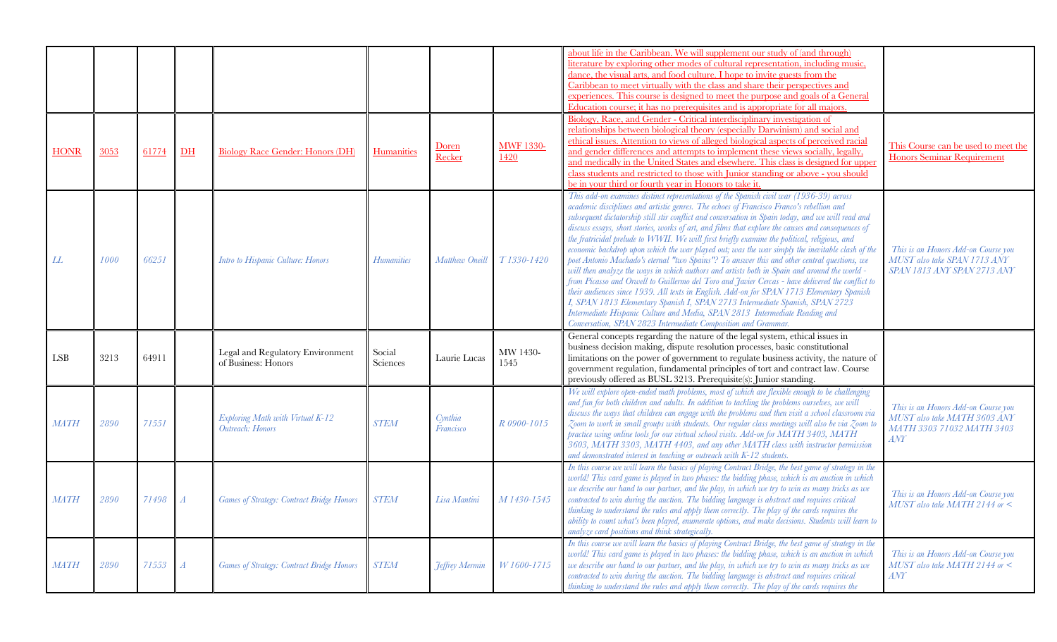|                             |      |       |                  |                                                         |                    |                              |                                 | about life in the Caribbean. We will supplement our study of (and through)<br>literature by exploring other modes of cultural representation, including music,<br>dance, the visual arts, and food culture. I hope to invite guests from the<br>Caribbean to meet virtually with the class and share their perspectives and<br>experiences. This course is designed to meet the purpose and goals of a General<br>Education course; it has no prerequisites and is appropriate for all majors.<br>Biology, Race, and Gender - Critical interdisciplinary investigation of                                                                                                                                                                                                                                                                                                                                                                                                                                                                                                                                                                                                                                                         |                                                                                                         |
|-----------------------------|------|-------|------------------|---------------------------------------------------------|--------------------|------------------------------|---------------------------------|-----------------------------------------------------------------------------------------------------------------------------------------------------------------------------------------------------------------------------------------------------------------------------------------------------------------------------------------------------------------------------------------------------------------------------------------------------------------------------------------------------------------------------------------------------------------------------------------------------------------------------------------------------------------------------------------------------------------------------------------------------------------------------------------------------------------------------------------------------------------------------------------------------------------------------------------------------------------------------------------------------------------------------------------------------------------------------------------------------------------------------------------------------------------------------------------------------------------------------------|---------------------------------------------------------------------------------------------------------|
| <b>HONR</b>                 | 3053 | 61774 | $DH$             | <b>Biology Race Gender: Honors (DH)</b>                 | <b>Humanities</b>  | <u>Doren</u><br>Recker       | <b>MWF 1330-</b><br><u>1420</u> | relationships between biological theory (especially Darwinism) and social and<br>ethical issues. Attention to views of alleged biological aspects of perceived racial<br>and gender differences and attempts to implement these views socially, legally,<br>and medically in the United States and elsewhere. This class is designed for upper<br>class students and restricted to those with Junior standing or above - you should<br>be in your third or fourth year in Honors to take it.                                                                                                                                                                                                                                                                                                                                                                                                                                                                                                                                                                                                                                                                                                                                      | This Course can be used to meet the<br><b>Honors Seminar Requirement</b>                                |
| LL                          | 1000 | 66251 |                  | Intro to Hispanic Culture: Honors                       | <b>Humanities</b>  | Matthew Oneill               | T1330-1420                      | This add-on examines distinct representations of the Spanish civil war (1936-39) across<br>academic disciplines and artistic genres. The echoes of Francisco Franco's rebellion and<br>subsequent dictatorship still stir conflict and conversation in Spain today, and we will read and<br>discuss essays, short stories, works of art, and films that explore the causes and consequences of<br>the fratricidal prelude to WWII. We will first briefly examine the political, religious, and<br>economic backdrop upon which the war played out; was the war simply the inevitable clash of the<br>poet Antonio Machado's eternal "two Spains"? To answer this and other central questions, we<br>will then analyze the ways in which authors and artists both in Spain and around the world -<br>from Picasso and Orwell to Guillermo del Toro and Javier Cercas - have delivered the conflict to<br>their audiences since 1939. All texts in English. Add-on for SPAN 1713 Elementary Spanish<br>I, SPAN 1813 Elementary Spanish I, SPAN 2713 Intermediate Spanish, SPAN 2723<br>Intermediate Hispanic Culture and Media, SPAN 2813 Intermediate Reading and<br>Conversation, SPAN 2823 Intermediate Composition and Grammar. | This is an Honors Add-on Course you<br>MUST also take SPAN 1713 ANY<br>SPAN 1813 ANY SPAN 2713 ANY      |
| $\ensuremath{\mathrm{LSB}}$ | 3213 | 64911 |                  | Legal and Regulatory Environment<br>of Business: Honors | Social<br>Sciences | Laurie Lucas                 | MW 1430-<br>1545                | General concepts regarding the nature of the legal system, ethical issues in<br>business decision making, dispute resolution processes, basic constitutional<br>limitations on the power of government to regulate business activity, the nature of<br>government regulation, fundamental principles of tort and contract law. Course<br>previously offered as BUSL 3213. Prerequisite(s): Junior standing.                                                                                                                                                                                                                                                                                                                                                                                                                                                                                                                                                                                                                                                                                                                                                                                                                       |                                                                                                         |
| MATH                        | 2890 | 71551 |                  | Exploring Math with Virtual K-12<br>Outreach: Honors    | <b>STEM</b>        | Cynthia<br>Francisco         | R 0900-1015                     | We will explore open-ended math problems, most of which are flexible enough to be challenging<br>and fun for both children and adults. In addition to tackling the problems ourselves, we will<br>discuss the ways that children can engage with the problems and then visit a school classroom via<br>Zoom to work in small groups with students. Our regular class meetings will also be via Zoom to<br>practice using online tools for our virtual school visits. Add-on for MATH 3403, MATH<br>3603, MATH 3303, MATH 4403, and any other MATH class with instructor permission<br>and demonstrated interest in teaching or outreach with K-12 students.                                                                                                                                                                                                                                                                                                                                                                                                                                                                                                                                                                       | This is an Honors Add-on Course you<br>MUST also take MATH 3603 ANY<br>MATH 3303 71032 MATH 3403<br>ANY |
| MATH                        | 2890 | 71498 |                  | Games of Strategy: Contract Bridge Honors               | <b>STEM</b>        | Lisa Mantini                 | M 1430-1545                     | In this course we will learn the basics of playing Contract Bridge, the best game of strategy in the<br>world! This card game is played in two phases: the bidding phase, which is an auction in which<br>we describe our hand to our partner, and the play, in which we try to win as many tricks as we<br>contracted to win during the auction. The bidding language is abstract and requires critical<br>thinking to understand the rules and apply them correctly. The play of the cards requires the<br>ability to count what's been played, enumerate options, and make decisions. Students will learn to<br>analyze card positions and think strategically                                                                                                                                                                                                                                                                                                                                                                                                                                                                                                                                                                 | This is an Honors Add-on Course you<br>$MUST$ also take MATH 2144 or $\lt$                              |
| MATH                        | 2890 | 71553 | $\boldsymbol{A}$ | <b>Games of Strategy: Contract Bridge Honors</b>        | <b>STEM</b>        | <i><b>Teffrey Mermin</b></i> | W1600-1715                      | In this course we will learn the basics of playing Contract Bridge, the best game of strategy in the<br>world! This card game is played in two phases: the bidding phase, which is an auction in which<br>we describe our hand to our partner, and the play, in which we try to win as many tricks as we<br>contracted to win during the auction. The bidding language is abstract and requires critical<br>thinking to understand the rules and apply them correctly. The play of the cards requires the                                                                                                                                                                                                                                                                                                                                                                                                                                                                                                                                                                                                                                                                                                                         | This is an Honors Add-on Course you<br>$MUST$ also take MATH 2144 or $\lt$<br>ANT                       |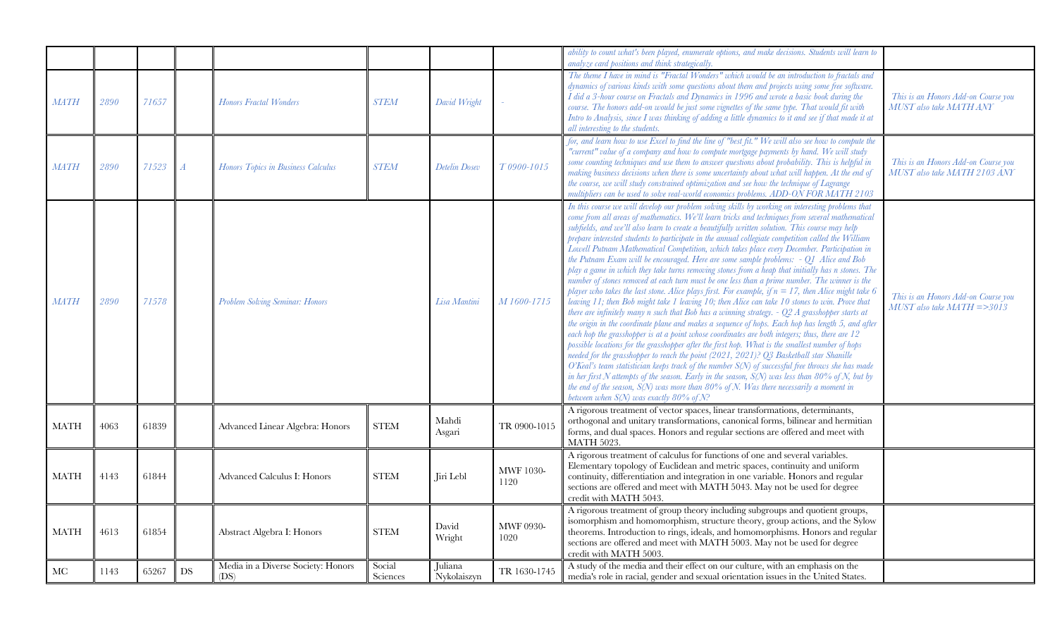|             |      |       |                   |                                            |                    |                        |                          | ability to count what's been played, enumerate options, and make decisions. Students will learn to<br>analyze card positions and think strategically                                                                                                                                                                                                                                                                                                                                                                                                                                                                                                                                                                                                                                                                                                                                                                                                                                                                                                                                                                                                                                                                                                                                                                                                                                                                                                                                                                                                                                                                                                                                                                                                                                                                                                                                     |                                                                        |
|-------------|------|-------|-------------------|--------------------------------------------|--------------------|------------------------|--------------------------|------------------------------------------------------------------------------------------------------------------------------------------------------------------------------------------------------------------------------------------------------------------------------------------------------------------------------------------------------------------------------------------------------------------------------------------------------------------------------------------------------------------------------------------------------------------------------------------------------------------------------------------------------------------------------------------------------------------------------------------------------------------------------------------------------------------------------------------------------------------------------------------------------------------------------------------------------------------------------------------------------------------------------------------------------------------------------------------------------------------------------------------------------------------------------------------------------------------------------------------------------------------------------------------------------------------------------------------------------------------------------------------------------------------------------------------------------------------------------------------------------------------------------------------------------------------------------------------------------------------------------------------------------------------------------------------------------------------------------------------------------------------------------------------------------------------------------------------------------------------------------------------|------------------------------------------------------------------------|
| MATH        | 2890 | 71657 |                   | <b>Honors Fractal Wonders</b>              | <b>STEM</b>        | David Wright           |                          | The theme I have in mind is "Fractal Wonders" which would be an introduction to fractals and<br>dynamics of various kinds with some questions about them and projects using some free software.<br>I did a 3-hour course on Fractals and Dynamics in 1996 and wrote a basic book during the<br>course. The honors add-on would be just some vignettes of the same type. That would fit with<br>Intro to Analysis, since I was thinking of adding a little dynamics to it and see if that made it at<br>all interesting to the students.                                                                                                                                                                                                                                                                                                                                                                                                                                                                                                                                                                                                                                                                                                                                                                                                                                                                                                                                                                                                                                                                                                                                                                                                                                                                                                                                                  | This is an Honors Add-on Course you<br><b>MUST</b> also take MATH ANY  |
| <b>MATH</b> | 2890 | 71523 |                   | Honors Topics in Business Calculus         | <b>STEM</b>        | <b>Detelin Dosev</b>   | T0900-1015               | for, and learn how to use Excel to find the line of "best fit." We will also see how to compute the<br>"current" value of a company and how to compute mortgage payments by hand. We will study<br>some counting techniques and use them to answer questions about probability. This is helpful in<br>making business decisions when there is some uncertainty about what will happen. At the end of<br>the course, we will study constrained optimization and see how the technique of Lagrange<br>multipliers can be used to solve real-world economics problems. ADD-ON FOR MATH 2103                                                                                                                                                                                                                                                                                                                                                                                                                                                                                                                                                                                                                                                                                                                                                                                                                                                                                                                                                                                                                                                                                                                                                                                                                                                                                                 | This is an Honors Add-on Course you<br>MUST also take MATH 2103 ANY    |
| $M\!AT\!H$  | 2890 | 71578 |                   | Problem Solving Seminar: Honors            |                    | Lisa Mantini           | M 1600-1715              | In this course we will develop our problem solving skills by working on interesting problems that<br>come from all areas of mathematics. We'll learn tricks and techniques from several mathematical<br>subfields, and we'll also learn to create a beautifully written solution. This course may help<br>prepare interested students to participate in the annual collegiate competition called the William<br>Lowell Putnam Mathematical Competition, which takes place every December. Participation in<br>the Putnam Exam will be encouraged. Here are some sample problems: - Q1 Alice and Bob<br>play a game in which they take turns removing stones from a heap that initially has n stones. The<br>number of stones removed at each turn must be one less than a prime number. The winner is the<br>player who takes the last stone. Alice plays first. For example, if $n = 17$ , then Alice might take 6<br>leaving 11; then Bob might take 1 leaving 10; then Alice can take 10 stones to win. Prove that<br>there are infinitely many $n$ such that Bob has a winning strategy. - Q2 A grasshopper starts at<br>the origin in the coordinate plane and makes a sequence of hops. Each hop has length 5, and after<br>each hop the grasshopper is at a point whose coordinates are both integers; thus, there are 12<br>possible locations for the grasshopper after the first hop. What is the smallest number of hops<br>needed for the grasshopper to reach the point (2021, 2021)? Q3 Basketball star Shanille<br>O'Keal's team statistician keeps track of the number S(N) of successful free throws she has made<br>in her first N attempts of the season. Early in the season, $S(N)$ was less than 80% of N, but by<br>the end of the season, $S(N)$ was more than $80\%$ of N. Was there necessarily a moment in<br>between when $S(N)$ was exactly $80\%$ of $N$ ? | This is an Honors Add-on Course you<br>$MUST$ also take $MATH = >3013$ |
| <b>MATH</b> | 4063 | 61839 |                   | Advanced Linear Algebra: Honors            | <b>STEM</b>        | Mahdi<br>Asgari        | TR 0900-1015             | A rigorous treatment of vector spaces, linear transformations, determinants,<br>orthogonal and unitary transformations, canonical forms, bilinear and hermitian<br>forms, and dual spaces. Honors and regular sections are offered and meet with<br><b>MATH 5023.</b>                                                                                                                                                                                                                                                                                                                                                                                                                                                                                                                                                                                                                                                                                                                                                                                                                                                                                                                                                                                                                                                                                                                                                                                                                                                                                                                                                                                                                                                                                                                                                                                                                    |                                                                        |
| <b>MATH</b> | 4143 | 61844 |                   | Advanced Calculus I: Honors                | <b>STEM</b>        | Jiri Lebl              | <b>MWF 1030-</b><br>1120 | A rigorous treatment of calculus for functions of one and several variables.<br>Elementary topology of Euclidean and metric spaces, continuity and uniform<br>continuity, differentiation and integration in one variable. Honors and regular<br>sections are offered and meet with MATH 5043. May not be used for degree<br>credit with MATH 5043.                                                                                                                                                                                                                                                                                                                                                                                                                                                                                                                                                                                                                                                                                                                                                                                                                                                                                                                                                                                                                                                                                                                                                                                                                                                                                                                                                                                                                                                                                                                                      |                                                                        |
| <b>MATH</b> | 4613 | 61854 |                   | Abstract Algebra I: Honors                 | <b>STEM</b>        | David<br>Wright        | MWF 0930-<br>1020        | A rigorous treatment of group theory including subgroups and quotient groups,<br>isomorphism and homomorphism, structure theory, group actions, and the Sylow<br>theorems. Introduction to rings, ideals, and homomorphisms. Honors and regular<br>sections are offered and meet with MATH 5003. May not be used for degree<br>credit with MATH 5003.                                                                                                                                                                                                                                                                                                                                                                                                                                                                                                                                                                                                                                                                                                                                                                                                                                                                                                                                                                                                                                                                                                                                                                                                                                                                                                                                                                                                                                                                                                                                    |                                                                        |
| МC          | 1143 | 65267 | $\mathop{\rm DS}$ | Media in a Diverse Society: Honors<br>(DS) | Social<br>Sciences | Juliana<br>Nykolaiszyn | TR 1630-1745             | A study of the media and their effect on our culture, with an emphasis on the<br>media's role in racial, gender and sexual orientation issues in the United States.                                                                                                                                                                                                                                                                                                                                                                                                                                                                                                                                                                                                                                                                                                                                                                                                                                                                                                                                                                                                                                                                                                                                                                                                                                                                                                                                                                                                                                                                                                                                                                                                                                                                                                                      |                                                                        |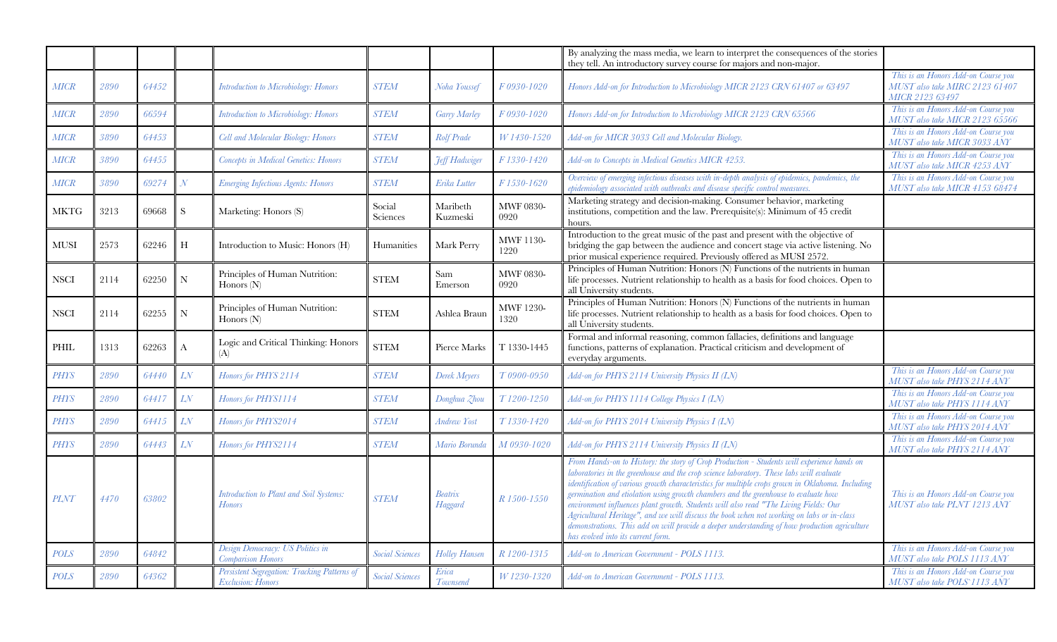|               |      |       |               |                                                                          |                        |                      |                          | By analyzing the mass media, we learn to interpret the consequences of the stories<br>they tell. An introductory survey course for majors and non-major.                                                                                                                                                                                                                                                                                                                                                                                                                                                                                                                                                      |                                                                                          |
|---------------|------|-------|---------------|--------------------------------------------------------------------------|------------------------|----------------------|--------------------------|---------------------------------------------------------------------------------------------------------------------------------------------------------------------------------------------------------------------------------------------------------------------------------------------------------------------------------------------------------------------------------------------------------------------------------------------------------------------------------------------------------------------------------------------------------------------------------------------------------------------------------------------------------------------------------------------------------------|------------------------------------------------------------------------------------------|
| <b>MICR</b>   | 2890 | 64452 |               | <b>Introduction to Microbiology: Honors</b>                              | <b>STEM</b>            | Noha Youssef         | F0930-1020               | Honors Add-on for Introduction to Microbiology MICR 2123 CRN 61407 or 63497                                                                                                                                                                                                                                                                                                                                                                                                                                                                                                                                                                                                                                   | This is an Honors Add-on Course you<br>MUST also take MIRC 2123 61407<br>MICR 2123 63497 |
| $M\!I\!C\!R$  | 2890 | 66594 |               | <b>Introduction to Microbiology: Honors</b>                              | <b>STEM</b>            | Garry Marley         | F0930-1020               | Honors Add-on for Introduction to Microbiology MICR 2123 CRN 65566                                                                                                                                                                                                                                                                                                                                                                                                                                                                                                                                                                                                                                            | This is an Honors Add-on Course you<br>MUST also take MICR 2123 65566                    |
| MICR          | 3890 | 64453 |               | Cell and Molecular Biology: Honors                                       | <b>STEM</b>            | Rolf Prade           | W 1430-1520              | Add-on for MICR 3033 Cell and Molecular Biology.                                                                                                                                                                                                                                                                                                                                                                                                                                                                                                                                                                                                                                                              | This is an Honors Add-on Course you<br>MUST also take MICR 3033 ANY                      |
| $M\!I\!C\!R$  | 3890 | 64455 |               | <b>Concepts in Medical Genetics: Honors</b>                              | <b>STEM</b>            | Feff Hadwiger        | F1330-1420               | Add-on to Concepts in Medical Genetics MICR 4253.                                                                                                                                                                                                                                                                                                                                                                                                                                                                                                                                                                                                                                                             | This is an Honors Add-on Course you<br>MUST also take MICR 4253 ANY                      |
| <b>MICR</b>   | 3890 | 69274 | $\mathcal{N}$ | <b>Emerging Infectious Agents: Honors</b>                                | <b>STEM</b>            | Erika Lutter         | F1530-1620               | Overview of emerging infectious diseases with in-depth analysis of epidemics, pandemics, the<br>epidemiology associated with outbreaks and disease specific control measures.                                                                                                                                                                                                                                                                                                                                                                                                                                                                                                                                 | This is an Honors Add-on Course you<br>MUST also take MICR 4153 68474                    |
| <b>MKTG</b>   | 3213 | 69668 | S             | Marketing: Honors (S)                                                    | Social<br>Sciences     | Maribeth<br>Kuzmeski | MWF 0830-<br>0920        | Marketing strategy and decision-making. Consumer behavior, marketing<br>institutions, competition and the law. Prerequisite(s): Minimum of 45 credit<br>hours.                                                                                                                                                                                                                                                                                                                                                                                                                                                                                                                                                |                                                                                          |
| ${\rm MUSI}$  | 2573 | 62246 | H             | Introduction to Music: Honors (H)                                        | Humanities             | Mark Perry           | <b>MWF 1130-</b><br>1220 | Introduction to the great music of the past and present with the objective of<br>bridging the gap between the audience and concert stage via active listening. No<br>prior musical experience required. Previously offered as MUSI 2572.                                                                                                                                                                                                                                                                                                                                                                                                                                                                      |                                                                                          |
| <b>NSCI</b>   | 2114 | 62250 | ${\rm N}$     | Principles of Human Nutrition:<br>Honors (N)                             | <b>STEM</b>            | Sam<br>Emerson       | <b>MWF 0830-</b><br>0920 | Principles of Human Nutrition: Honors (N) Functions of the nutrients in human<br>life processes. Nutrient relationship to health as a basis for food choices. Open to<br>all University students.                                                                                                                                                                                                                                                                                                                                                                                                                                                                                                             |                                                                                          |
| <b>NSCI</b>   | 2114 | 62255 | ${\bf N}$     | Principles of Human Nutrition:<br>Honors $(N)$                           | <b>STEM</b>            | Ashlea Braun         | MWF 1230-<br>1320        | Principles of Human Nutrition: Honors (N) Functions of the nutrients in human<br>life processes. Nutrient relationship to health as a basis for food choices. Open to<br>all University students.                                                                                                                                                                                                                                                                                                                                                                                                                                                                                                             |                                                                                          |
| $\mbox{PHIL}$ | 1313 | 62263 | A             | Logic and Critical Thinking: Honors<br>(A)                               | <b>STEM</b>            | Pierce Marks         | T 1330-1445              | Formal and informal reasoning, common fallacies, definitions and language<br>functions, patterns of explanation. Practical criticism and development of<br>everyday arguments.                                                                                                                                                                                                                                                                                                                                                                                                                                                                                                                                |                                                                                          |
| <b>PHYS</b>   | 2890 | 64440 | LN            | Honors for PHYS 2114                                                     | <b>STEM</b>            | Derek Meyers         | T0900-0950               | Add-on for PHYS 2114 University Physics II (LN)                                                                                                                                                                                                                                                                                                                                                                                                                                                                                                                                                                                                                                                               | This is an Honors Add-on Course you<br>MUST also take PHYS 2114 ANY                      |
| PHYS          | 2890 | 64417 | LN            | Honors for PHYS1114                                                      | <b>STEM</b>            | Donghua Zhou         | T1200-1250               | Add-on for PHYS 1114 College Physics I (LN)                                                                                                                                                                                                                                                                                                                                                                                                                                                                                                                                                                                                                                                                   | This is an Honors Add-on Course you<br>MUST also take PHYS 1114 ANY                      |
| PHYS          | 2890 | 64415 | LN            | Honors for PHYS2014                                                      | <b>STEM</b>            | Andrew Yost          | T1330-1420               | Add-on for PHYS 2014 University Physics I (LN)                                                                                                                                                                                                                                                                                                                                                                                                                                                                                                                                                                                                                                                                | This is an Honors Add-on Course you<br>MUST also take PHYS 2014 ANY                      |
| <b>PHYS</b>   | 2890 | 64443 | LN            | Honors for PHYS2114                                                      | <b>STEM</b>            | Mario Borunda        | M 0930-1020              | Add-on for PHYS 2114 University Physics II (LN)                                                                                                                                                                                                                                                                                                                                                                                                                                                                                                                                                                                                                                                               | This is an Honors Add-on Course you<br>MUST also take PHYS 2114 ANY                      |
| <b>PLNT</b>   | 4470 | 63802 |               | Introduction to Plant and Soil Systems:<br><b>Honors</b>                 | <b>STEM</b>            | Beatrix<br>Haggard   | R 1500-1550              | From Hands-on to History: the story of Crop Production - Students will experience hands on<br>laboratories in the greenhouse and the crop science laboratory. These labs will evaluate<br>identification of various growth characteristics for multiple crops grown in Oklahoma. Including<br>germination and etiolation using growth chambers and the greenhouse to evaluate how<br>environment influences plant growth. Students will also read "The Living Fields: Our<br>Agricultural Heritage", and we will discuss the book when not working on labs or in-class<br>demonstrations. This add on will provide a deeper understanding of how production agriculture<br>has evolved into its current form. | This is an Honors Add-on Course you<br>MUST also take PLNT 1213 ANY                      |
| <b>POLS</b>   | 2890 | 64842 |               | Design Democracy: US Politics in<br>Comparison Honors                    | <b>Social Sciences</b> | Holley Hansen        | R 1200-1315              | Add-on to American Government - POLS 1113.                                                                                                                                                                                                                                                                                                                                                                                                                                                                                                                                                                                                                                                                    | This is an Honors Add-on Course you<br>MUST also take POLS 1113 ANY                      |
| <b>POLS</b>   | 2890 | 64362 |               | Persistent Segregation: Tracking Patterns of<br><b>Exclusion: Honors</b> | <b>Social Sciences</b> | Erica<br>Townsend    | W 1230-1320              | Add-on to American Government - POLS 1113.                                                                                                                                                                                                                                                                                                                                                                                                                                                                                                                                                                                                                                                                    | This is an Honors Add-on Course you<br>MUST also take POLS'1113 ANY                      |